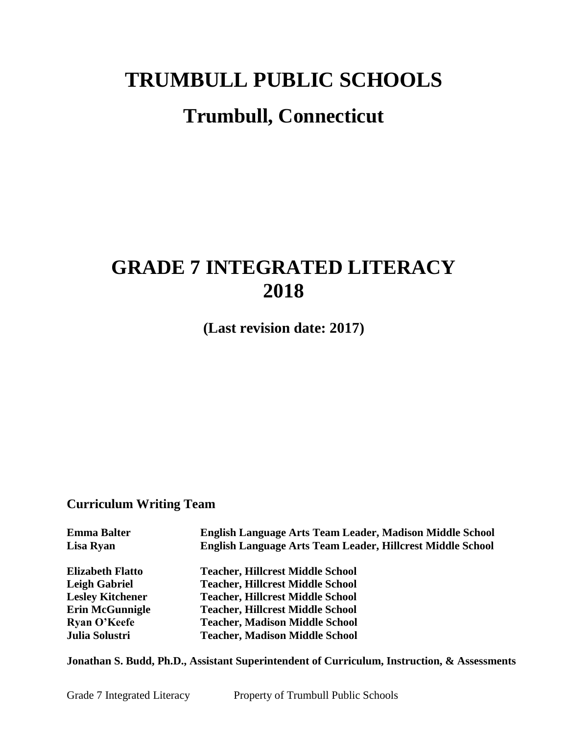# **TRUMBULL PUBLIC SCHOOLS Trumbull, Connecticut**

## **GRADE 7 INTEGRATED LITERACY 2018**

**(Last revision date: 2017)**

## **Curriculum Writing Team**

| <b>Emma Balter</b>      | English Language Arts Team Leader, Madison Middle School   |
|-------------------------|------------------------------------------------------------|
| Lisa Ryan               | English Language Arts Team Leader, Hillcrest Middle School |
| <b>Elizabeth Flatto</b> | <b>Teacher, Hillcrest Middle School</b>                    |
| Leigh Gabriel           | <b>Teacher, Hillcrest Middle School</b>                    |
| <b>Lesley Kitchener</b> | <b>Teacher, Hillcrest Middle School</b>                    |
| <b>Erin McGunnigle</b>  | <b>Teacher, Hillcrest Middle School</b>                    |
| <b>Ryan O'Keefe</b>     | <b>Teacher, Madison Middle School</b>                      |
| Julia Solustri          | <b>Teacher, Madison Middle School</b>                      |
|                         |                                                            |

**Jonathan S. Budd, Ph.D., Assistant Superintendent of Curriculum, Instruction, & Assessments**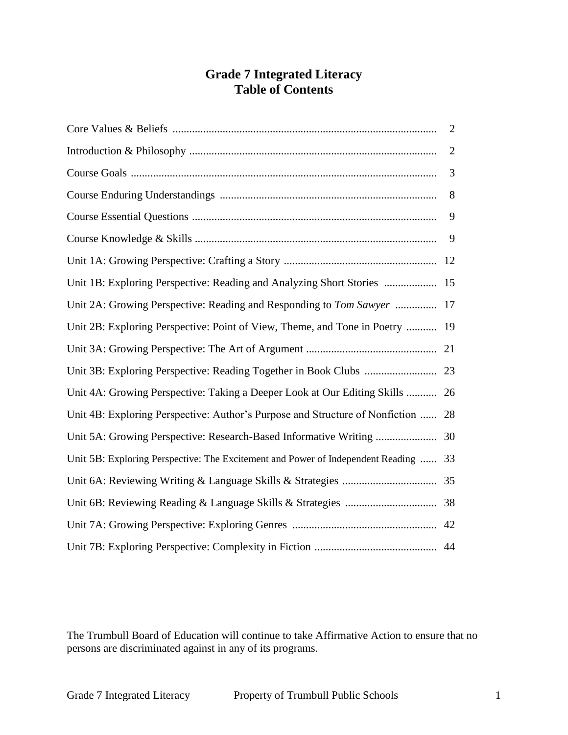## **Grade 7 Integrated Literacy Table of Contents**

|                                                                                     | $\overline{2}$ |
|-------------------------------------------------------------------------------------|----------------|
|                                                                                     | $\overline{2}$ |
|                                                                                     | 3              |
|                                                                                     | 8              |
|                                                                                     | 9              |
|                                                                                     | 9              |
|                                                                                     |                |
| Unit 1B: Exploring Perspective: Reading and Analyzing Short Stories  15             |                |
| Unit 2A: Growing Perspective: Reading and Responding to Tom Sawyer  17              |                |
| Unit 2B: Exploring Perspective: Point of View, Theme, and Tone in Poetry  19        |                |
|                                                                                     |                |
|                                                                                     |                |
| Unit 4A: Growing Perspective: Taking a Deeper Look at Our Editing Skills  26        |                |
| Unit 4B: Exploring Perspective: Author's Purpose and Structure of Nonfiction  28    |                |
|                                                                                     |                |
| Unit 5B: Exploring Perspective: The Excitement and Power of Independent Reading  33 |                |
|                                                                                     |                |
|                                                                                     |                |
|                                                                                     |                |
|                                                                                     |                |

The Trumbull Board of Education will continue to take Affirmative Action to ensure that no persons are discriminated against in any of its programs.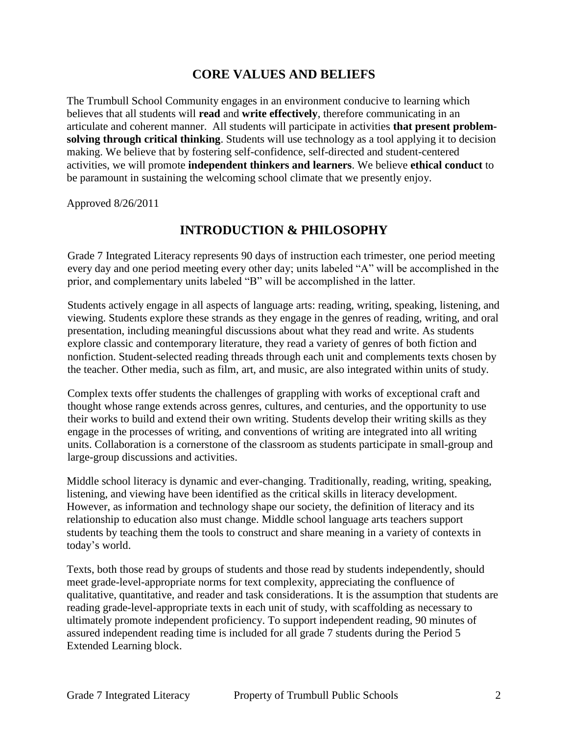## **CORE VALUES AND BELIEFS**

The Trumbull School Community engages in an environment conducive to learning which believes that all students will **read** and **write effectively**, therefore communicating in an articulate and coherent manner. All students will participate in activities **that present problemsolving through critical thinking**. Students will use technology as a tool applying it to decision making. We believe that by fostering self-confidence, self-directed and student-centered activities, we will promote **independent thinkers and learners**. We believe **ethical conduct** to be paramount in sustaining the welcoming school climate that we presently enjoy.

Approved 8/26/2011

## **INTRODUCTION & PHILOSOPHY**

Grade 7 Integrated Literacy represents 90 days of instruction each trimester, one period meeting every day and one period meeting every other day; units labeled "A" will be accomplished in the prior, and complementary units labeled "B" will be accomplished in the latter.

Students actively engage in all aspects of language arts: reading, writing, speaking, listening, and viewing. Students explore these strands as they engage in the genres of reading, writing, and oral presentation, including meaningful discussions about what they read and write. As students explore classic and contemporary literature, they read a variety of genres of both fiction and nonfiction. Student-selected reading threads through each unit and complements texts chosen by the teacher. Other media, such as film, art, and music, are also integrated within units of study.

Complex texts offer students the challenges of grappling with works of exceptional craft and thought whose range extends across genres, cultures, and centuries, and the opportunity to use their works to build and extend their own writing. Students develop their writing skills as they engage in the processes of writing, and conventions of writing are integrated into all writing units. Collaboration is a cornerstone of the classroom as students participate in small-group and large-group discussions and activities.

Middle school literacy is dynamic and ever-changing. Traditionally, reading, writing, speaking, listening, and viewing have been identified as the critical skills in literacy development. However, as information and technology shape our society, the definition of literacy and its relationship to education also must change. Middle school language arts teachers support students by teaching them the tools to construct and share meaning in a variety of contexts in today's world.

Texts, both those read by groups of students and those read by students independently, should meet grade-level-appropriate norms for text complexity, appreciating the confluence of qualitative, quantitative, and reader and task considerations. It is the assumption that students are reading grade-level-appropriate texts in each unit of study, with scaffolding as necessary to ultimately promote independent proficiency. To support independent reading, 90 minutes of assured independent reading time is included for all grade 7 students during the Period 5 Extended Learning block.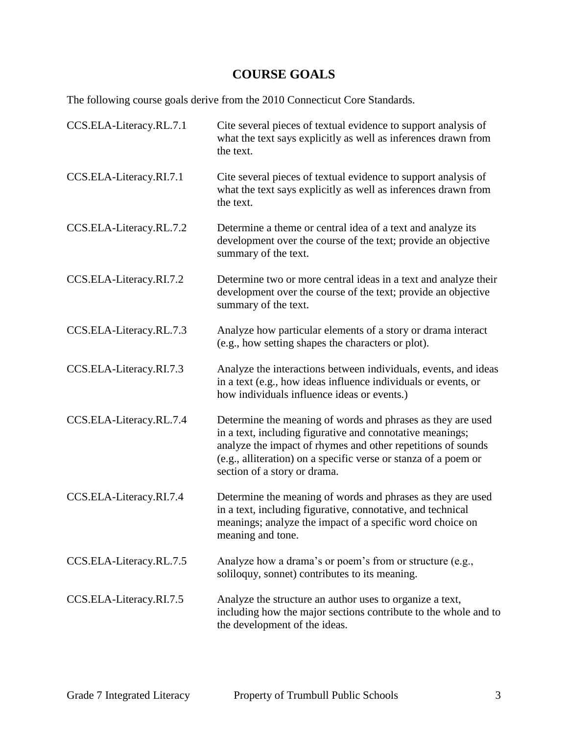## **COURSE GOALS**

The following course goals derive from the 2010 Connecticut Core Standards.

| CCS.ELA-Literacy.RL.7.1 | Cite several pieces of textual evidence to support analysis of<br>what the text says explicitly as well as inferences drawn from<br>the text.                                                                                                                                               |
|-------------------------|---------------------------------------------------------------------------------------------------------------------------------------------------------------------------------------------------------------------------------------------------------------------------------------------|
| CCS.ELA-Literacy.RI.7.1 | Cite several pieces of textual evidence to support analysis of<br>what the text says explicitly as well as inferences drawn from<br>the text.                                                                                                                                               |
| CCS.ELA-Literacy.RL.7.2 | Determine a theme or central idea of a text and analyze its<br>development over the course of the text; provide an objective<br>summary of the text.                                                                                                                                        |
| CCS.ELA-Literacy.RI.7.2 | Determine two or more central ideas in a text and analyze their<br>development over the course of the text; provide an objective<br>summary of the text.                                                                                                                                    |
| CCS.ELA-Literacy.RL.7.3 | Analyze how particular elements of a story or drama interact<br>(e.g., how setting shapes the characters or plot).                                                                                                                                                                          |
| CCS.ELA-Literacy.RI.7.3 | Analyze the interactions between individuals, events, and ideas<br>in a text (e.g., how ideas influence individuals or events, or<br>how individuals influence ideas or events.)                                                                                                            |
| CCS.ELA-Literacy.RL.7.4 | Determine the meaning of words and phrases as they are used<br>in a text, including figurative and connotative meanings;<br>analyze the impact of rhymes and other repetitions of sounds<br>(e.g., alliteration) on a specific verse or stanza of a poem or<br>section of a story or drama. |
| CCS.ELA-Literacy.RI.7.4 | Determine the meaning of words and phrases as they are used<br>in a text, including figurative, connotative, and technical<br>meanings; analyze the impact of a specific word choice on<br>meaning and tone.                                                                                |
| CCS.ELA-Literacy.RL.7.5 | Analyze how a drama's or poem's from or structure (e.g.,<br>soliloquy, sonnet) contributes to its meaning.                                                                                                                                                                                  |
| CCS.ELA-Literacy.RI.7.5 | Analyze the structure an author uses to organize a text,<br>including how the major sections contribute to the whole and to<br>the development of the ideas.                                                                                                                                |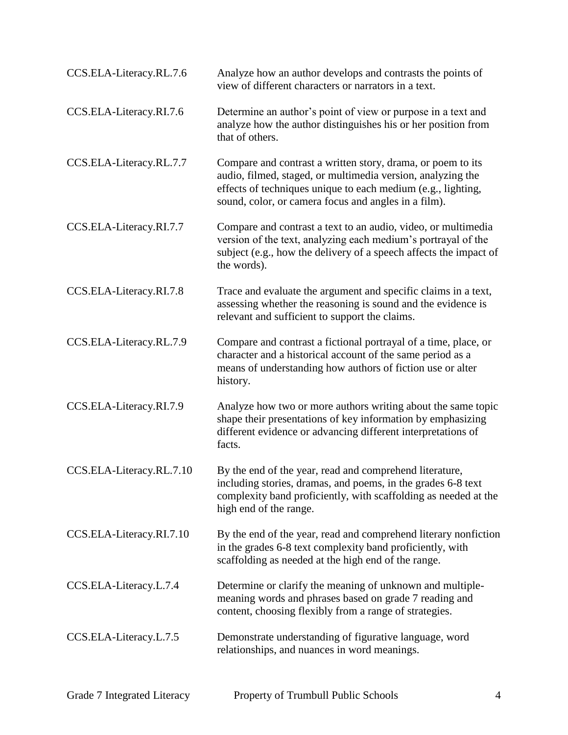| CCS.ELA-Literacy.RL.7.6  | Analyze how an author develops and contrasts the points of<br>view of different characters or narrators in a text.                                                                                                                                 |
|--------------------------|----------------------------------------------------------------------------------------------------------------------------------------------------------------------------------------------------------------------------------------------------|
| CCS.ELA-Literacy.RI.7.6  | Determine an author's point of view or purpose in a text and<br>analyze how the author distinguishes his or her position from<br>that of others.                                                                                                   |
| CCS.ELA-Literacy.RL.7.7  | Compare and contrast a written story, drama, or poem to its<br>audio, filmed, staged, or multimedia version, analyzing the<br>effects of techniques unique to each medium (e.g., lighting,<br>sound, color, or camera focus and angles in a film). |
| CCS.ELA-Literacy.RI.7.7  | Compare and contrast a text to an audio, video, or multimedia<br>version of the text, analyzing each medium's portrayal of the<br>subject (e.g., how the delivery of a speech affects the impact of<br>the words).                                 |
| CCS.ELA-Literacy.RI.7.8  | Trace and evaluate the argument and specific claims in a text,<br>assessing whether the reasoning is sound and the evidence is<br>relevant and sufficient to support the claims.                                                                   |
| CCS.ELA-Literacy.RL.7.9  | Compare and contrast a fictional portrayal of a time, place, or<br>character and a historical account of the same period as a<br>means of understanding how authors of fiction use or alter<br>history.                                            |
| CCS.ELA-Literacy.RI.7.9  | Analyze how two or more authors writing about the same topic<br>shape their presentations of key information by emphasizing<br>different evidence or advancing different interpretations of<br>facts.                                              |
| CCS.ELA-Literacy.RL.7.10 | By the end of the year, read and comprehend literature,<br>including stories, dramas, and poems, in the grades 6-8 text<br>complexity band proficiently, with scaffolding as needed at the<br>high end of the range.                               |
| CCS.ELA-Literacy.RI.7.10 | By the end of the year, read and comprehend literary nonfiction<br>in the grades 6-8 text complexity band proficiently, with<br>scaffolding as needed at the high end of the range.                                                                |
| CCS.ELA-Literacy.L.7.4   | Determine or clarify the meaning of unknown and multiple-<br>meaning words and phrases based on grade 7 reading and<br>content, choosing flexibly from a range of strategies.                                                                      |
| CCS.ELA-Literacy.L.7.5   | Demonstrate understanding of figurative language, word<br>relationships, and nuances in word meanings.                                                                                                                                             |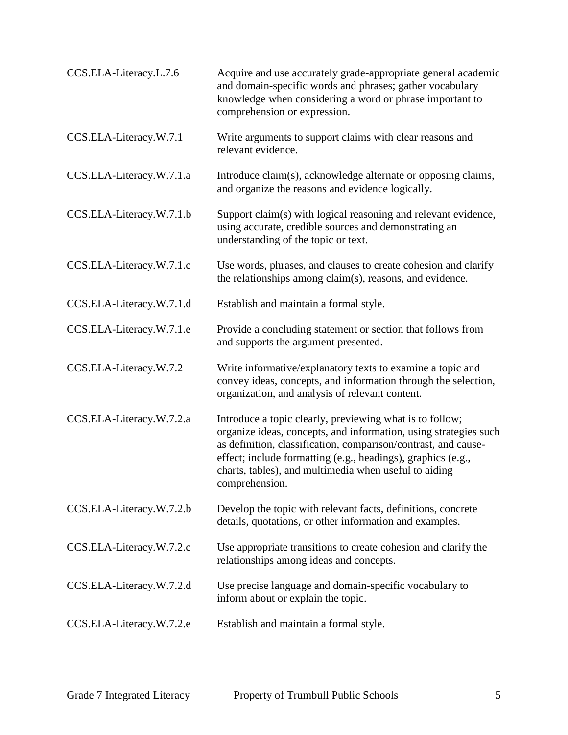| CCS.ELA-Literacy.L.7.6   | Acquire and use accurately grade-appropriate general academic<br>and domain-specific words and phrases; gather vocabulary<br>knowledge when considering a word or phrase important to<br>comprehension or expression.                                                                                                                     |
|--------------------------|-------------------------------------------------------------------------------------------------------------------------------------------------------------------------------------------------------------------------------------------------------------------------------------------------------------------------------------------|
| CCS.ELA-Literacy.W.7.1   | Write arguments to support claims with clear reasons and<br>relevant evidence.                                                                                                                                                                                                                                                            |
| CCS.ELA-Literacy.W.7.1.a | Introduce claim(s), acknowledge alternate or opposing claims,<br>and organize the reasons and evidence logically.                                                                                                                                                                                                                         |
| CCS.ELA-Literacy.W.7.1.b | Support claim(s) with logical reasoning and relevant evidence,<br>using accurate, credible sources and demonstrating an<br>understanding of the topic or text.                                                                                                                                                                            |
| CCS.ELA-Literacy.W.7.1.c | Use words, phrases, and clauses to create cohesion and clarify<br>the relationships among claim(s), reasons, and evidence.                                                                                                                                                                                                                |
| CCS.ELA-Literacy.W.7.1.d | Establish and maintain a formal style.                                                                                                                                                                                                                                                                                                    |
| CCS.ELA-Literacy.W.7.1.e | Provide a concluding statement or section that follows from<br>and supports the argument presented.                                                                                                                                                                                                                                       |
| CCS.ELA-Literacy.W.7.2   | Write informative/explanatory texts to examine a topic and<br>convey ideas, concepts, and information through the selection,<br>organization, and analysis of relevant content.                                                                                                                                                           |
| CCS.ELA-Literacy.W.7.2.a | Introduce a topic clearly, previewing what is to follow;<br>organize ideas, concepts, and information, using strategies such<br>as definition, classification, comparison/contrast, and cause-<br>effect; include formatting (e.g., headings), graphics (e.g.,<br>charts, tables), and multimedia when useful to aiding<br>comprehension. |
| CCS.ELA-Literacy.W.7.2.b | Develop the topic with relevant facts, definitions, concrete<br>details, quotations, or other information and examples.                                                                                                                                                                                                                   |
| CCS.ELA-Literacy.W.7.2.c | Use appropriate transitions to create cohesion and clarify the<br>relationships among ideas and concepts.                                                                                                                                                                                                                                 |
| CCS.ELA-Literacy.W.7.2.d | Use precise language and domain-specific vocabulary to<br>inform about or explain the topic.                                                                                                                                                                                                                                              |
| CCS.ELA-Literacy.W.7.2.e | Establish and maintain a formal style.                                                                                                                                                                                                                                                                                                    |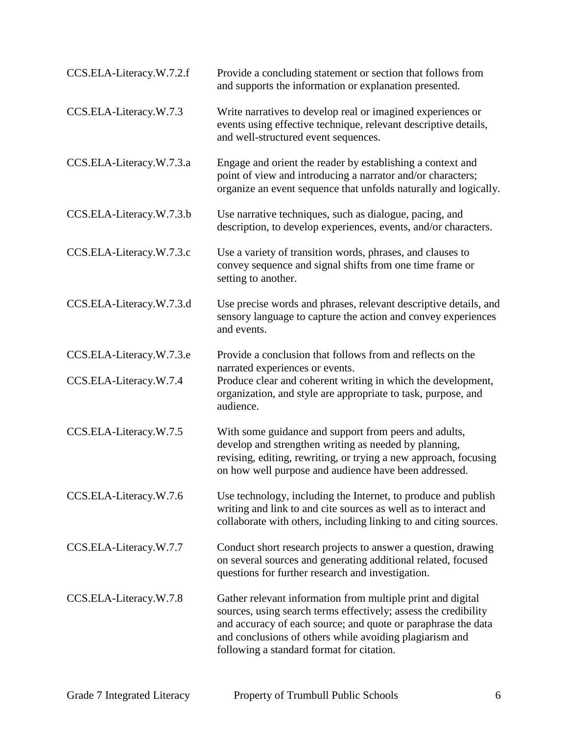| CCS.ELA-Literacy.W.7.2.f | Provide a concluding statement or section that follows from<br>and supports the information or explanation presented.                                                                                                                                                                                   |
|--------------------------|---------------------------------------------------------------------------------------------------------------------------------------------------------------------------------------------------------------------------------------------------------------------------------------------------------|
| CCS.ELA-Literacy.W.7.3   | Write narratives to develop real or imagined experiences or<br>events using effective technique, relevant descriptive details,<br>and well-structured event sequences.                                                                                                                                  |
| CCS.ELA-Literacy.W.7.3.a | Engage and orient the reader by establishing a context and<br>point of view and introducing a narrator and/or characters;<br>organize an event sequence that unfolds naturally and logically.                                                                                                           |
| CCS.ELA-Literacy.W.7.3.b | Use narrative techniques, such as dialogue, pacing, and<br>description, to develop experiences, events, and/or characters.                                                                                                                                                                              |
| CCS.ELA-Literacy.W.7.3.c | Use a variety of transition words, phrases, and clauses to<br>convey sequence and signal shifts from one time frame or<br>setting to another.                                                                                                                                                           |
| CCS.ELA-Literacy.W.7.3.d | Use precise words and phrases, relevant descriptive details, and<br>sensory language to capture the action and convey experiences<br>and events.                                                                                                                                                        |
| CCS.ELA-Literacy.W.7.3.e | Provide a conclusion that follows from and reflects on the<br>narrated experiences or events.                                                                                                                                                                                                           |
| CCS.ELA-Literacy.W.7.4   | Produce clear and coherent writing in which the development,<br>organization, and style are appropriate to task, purpose, and<br>audience.                                                                                                                                                              |
| CCS.ELA-Literacy.W.7.5   | With some guidance and support from peers and adults,<br>develop and strengthen writing as needed by planning,<br>revising, editing, rewriting, or trying a new approach, focusing<br>on how well purpose and audience have been addressed.                                                             |
| CCS.ELA-Literacy.W.7.6   | Use technology, including the Internet, to produce and publish<br>writing and link to and cite sources as well as to interact and<br>collaborate with others, including linking to and citing sources.                                                                                                  |
| CCS.ELA-Literacy.W.7.7   | Conduct short research projects to answer a question, drawing<br>on several sources and generating additional related, focused<br>questions for further research and investigation.                                                                                                                     |
| CCS.ELA-Literacy.W.7.8   | Gather relevant information from multiple print and digital<br>sources, using search terms effectively; assess the credibility<br>and accuracy of each source; and quote or paraphrase the data<br>and conclusions of others while avoiding plagiarism and<br>following a standard format for citation. |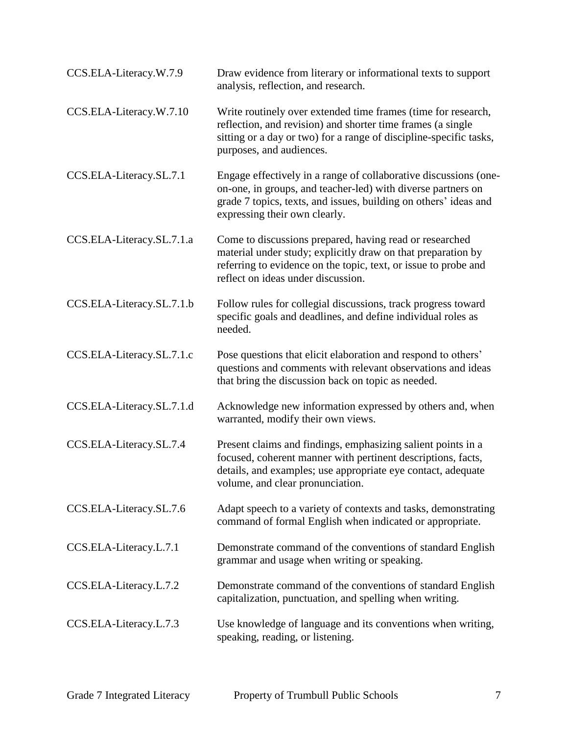| CCS.ELA-Literacy.W.7.9    | Draw evidence from literary or informational texts to support<br>analysis, reflection, and research.                                                                                                                                  |
|---------------------------|---------------------------------------------------------------------------------------------------------------------------------------------------------------------------------------------------------------------------------------|
| CCS.ELA-Literacy.W.7.10   | Write routinely over extended time frames (time for research,<br>reflection, and revision) and shorter time frames (a single<br>sitting or a day or two) for a range of discipline-specific tasks,<br>purposes, and audiences.        |
| CCS.ELA-Literacy.SL.7.1   | Engage effectively in a range of collaborative discussions (one-<br>on-one, in groups, and teacher-led) with diverse partners on<br>grade 7 topics, texts, and issues, building on others' ideas and<br>expressing their own clearly. |
| CCS.ELA-Literacy.SL.7.1.a | Come to discussions prepared, having read or researched<br>material under study; explicitly draw on that preparation by<br>referring to evidence on the topic, text, or issue to probe and<br>reflect on ideas under discussion.      |
| CCS.ELA-Literacy.SL.7.1.b | Follow rules for collegial discussions, track progress toward<br>specific goals and deadlines, and define individual roles as<br>needed.                                                                                              |
| CCS.ELA-Literacy.SL.7.1.c | Pose questions that elicit elaboration and respond to others'<br>questions and comments with relevant observations and ideas<br>that bring the discussion back on topic as needed.                                                    |
| CCS.ELA-Literacy.SL.7.1.d | Acknowledge new information expressed by others and, when<br>warranted, modify their own views.                                                                                                                                       |
| CCS.ELA-Literacy.SL.7.4   | Present claims and findings, emphasizing salient points in a<br>focused, coherent manner with pertinent descriptions, facts,<br>details, and examples; use appropriate eye contact, adequate<br>volume, and clear pronunciation.      |
| CCS.ELA-Literacy.SL.7.6   | Adapt speech to a variety of contexts and tasks, demonstrating<br>command of formal English when indicated or appropriate.                                                                                                            |
| CCS.ELA-Literacy.L.7.1    | Demonstrate command of the conventions of standard English<br>grammar and usage when writing or speaking.                                                                                                                             |
| CCS.ELA-Literacy.L.7.2    | Demonstrate command of the conventions of standard English<br>capitalization, punctuation, and spelling when writing.                                                                                                                 |
| CCS.ELA-Literacy.L.7.3    | Use knowledge of language and its conventions when writing,<br>speaking, reading, or listening.                                                                                                                                       |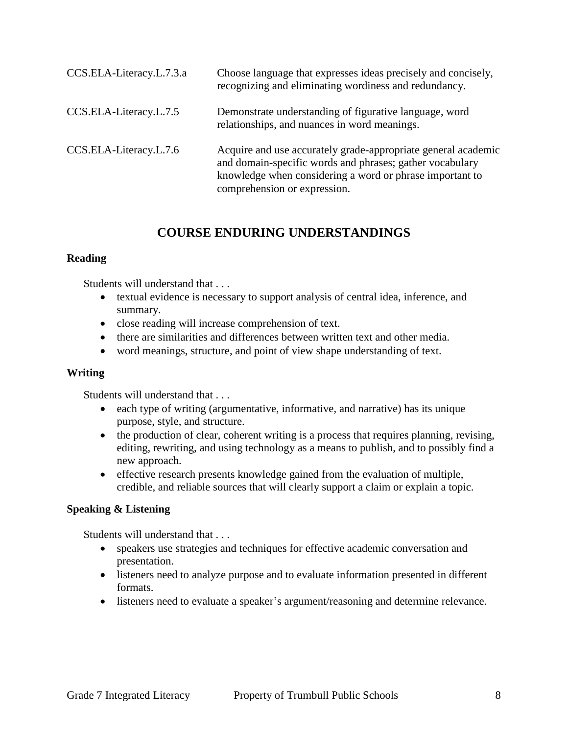| CCS.ELA-Literacy.L.7.3.a | Choose language that expresses ideas precisely and concisely,<br>recognizing and eliminating wordiness and redundancy.                                                                                                |
|--------------------------|-----------------------------------------------------------------------------------------------------------------------------------------------------------------------------------------------------------------------|
| CCS.ELA-Literacy.L.7.5   | Demonstrate understanding of figurative language, word<br>relationships, and nuances in word meanings.                                                                                                                |
| CCS.ELA-Literacy.L.7.6   | Acquire and use accurately grade-appropriate general academic<br>and domain-specific words and phrases; gather vocabulary<br>knowledge when considering a word or phrase important to<br>comprehension or expression. |

## **COURSE ENDURING UNDERSTANDINGS**

#### **Reading**

Students will understand that . . .

- textual evidence is necessary to support analysis of central idea, inference, and summary.
- close reading will increase comprehension of text.
- there are similarities and differences between written text and other media.
- word meanings, structure, and point of view shape understanding of text.

#### **Writing**

Students will understand that . . .

- each type of writing (argumentative, informative, and narrative) has its unique purpose, style, and structure.
- the production of clear, coherent writing is a process that requires planning, revising, editing, rewriting, and using technology as a means to publish, and to possibly find a new approach.
- effective research presents knowledge gained from the evaluation of multiple, credible, and reliable sources that will clearly support a claim or explain a topic.

#### **Speaking & Listening**

Students will understand that . . .

- speakers use strategies and techniques for effective academic conversation and presentation.
- listeners need to analyze purpose and to evaluate information presented in different formats.
- listeners need to evaluate a speaker's argument/reasoning and determine relevance.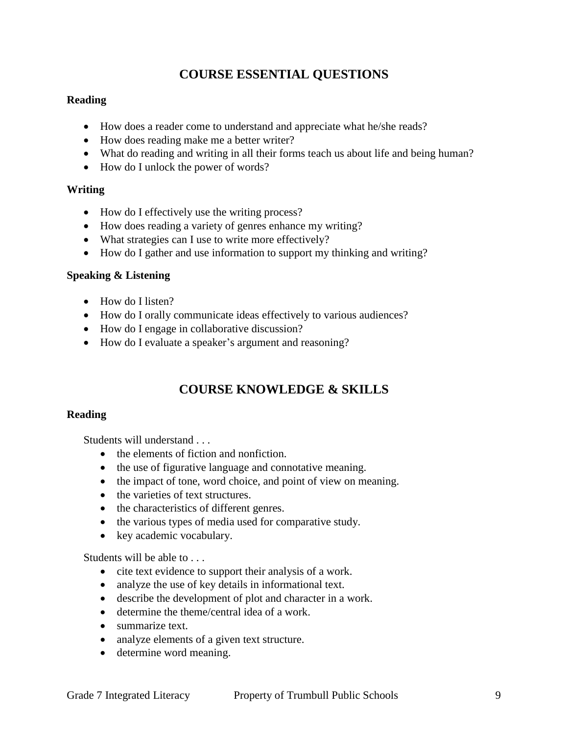## **COURSE ESSENTIAL QUESTIONS**

#### **Reading**

- How does a reader come to understand and appreciate what he/she reads?
- How does reading make me a better writer?
- What do reading and writing in all their forms teach us about life and being human?
- How do I unlock the power of words?

#### **Writing**

- How do I effectively use the writing process?
- How does reading a variety of genres enhance my writing?
- What strategies can I use to write more effectively?
- How do I gather and use information to support my thinking and writing?

#### **Speaking & Listening**

- How do I listen?
- How do I orally communicate ideas effectively to various audiences?
- How do I engage in collaborative discussion?
- How do I evaluate a speaker's argument and reasoning?

## **COURSE KNOWLEDGE & SKILLS**

#### **Reading**

Students will understand . . .

- the elements of fiction and nonfiction.
- the use of figurative language and connotative meaning.
- the impact of tone, word choice, and point of view on meaning.
- the varieties of text structures.
- the characteristics of different genres.
- the various types of media used for comparative study.
- key academic vocabulary.

Students will be able to . . .

- cite text evidence to support their analysis of a work.
- analyze the use of key details in informational text.
- describe the development of plot and character in a work.
- determine the theme/central idea of a work.
- summarize text.
- analyze elements of a given text structure.
- determine word meaning.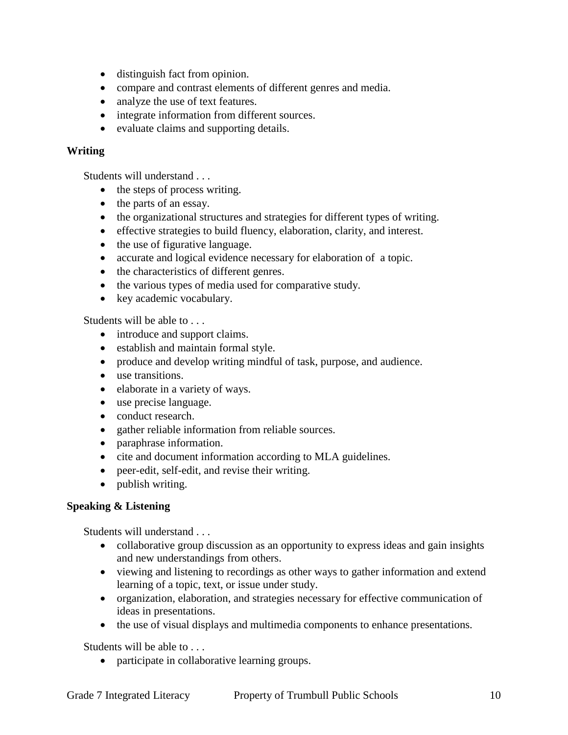- distinguish fact from opinion.
- compare and contrast elements of different genres and media.
- analyze the use of text features.
- integrate information from different sources.
- evaluate claims and supporting details.

#### **Writing**

Students will understand . . .

- the steps of process writing.
- the parts of an essay.
- the organizational structures and strategies for different types of writing.
- effective strategies to build fluency, elaboration, clarity, and interest.
- the use of figurative language.
- accurate and logical evidence necessary for elaboration of a topic.
- the characteristics of different genres.
- the various types of media used for comparative study.
- key academic vocabulary.

Students will be able to . . .

- introduce and support claims.
- establish and maintain formal style.
- produce and develop writing mindful of task, purpose, and audience.
- use transitions.
- elaborate in a variety of ways.
- use precise language.
- conduct research.
- gather reliable information from reliable sources.
- paraphrase information.
- cite and document information according to MLA guidelines.
- peer-edit, self-edit, and revise their writing.
- publish writing.

#### **Speaking & Listening**

Students will understand . . .

- collaborative group discussion as an opportunity to express ideas and gain insights and new understandings from others.
- viewing and listening to recordings as other ways to gather information and extend learning of a topic, text, or issue under study.
- organization, elaboration, and strategies necessary for effective communication of ideas in presentations.
- the use of visual displays and multimedia components to enhance presentations.

Students will be able to . . .

• participate in collaborative learning groups.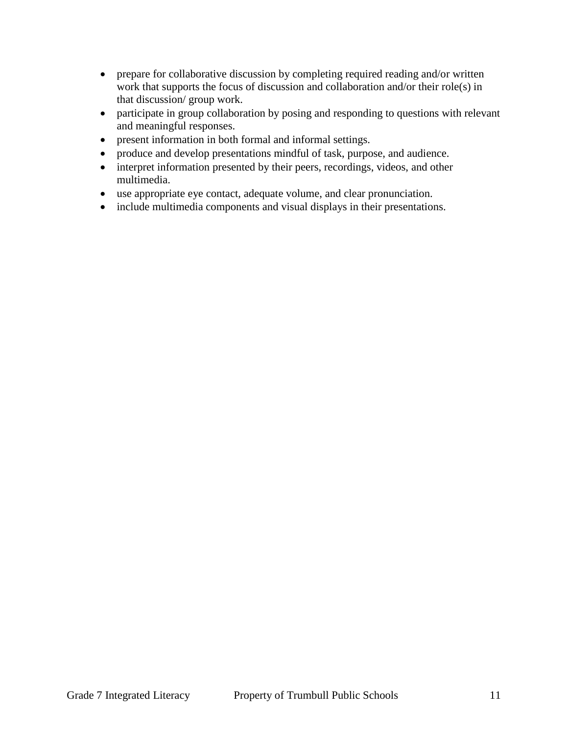- prepare for collaborative discussion by completing required reading and/or written work that supports the focus of discussion and collaboration and/or their role(s) in that discussion/ group work.
- participate in group collaboration by posing and responding to questions with relevant and meaningful responses.
- present information in both formal and informal settings.
- produce and develop presentations mindful of task, purpose, and audience.
- interpret information presented by their peers, recordings, videos, and other multimedia.
- use appropriate eye contact, adequate volume, and clear pronunciation.
- include multimedia components and visual displays in their presentations.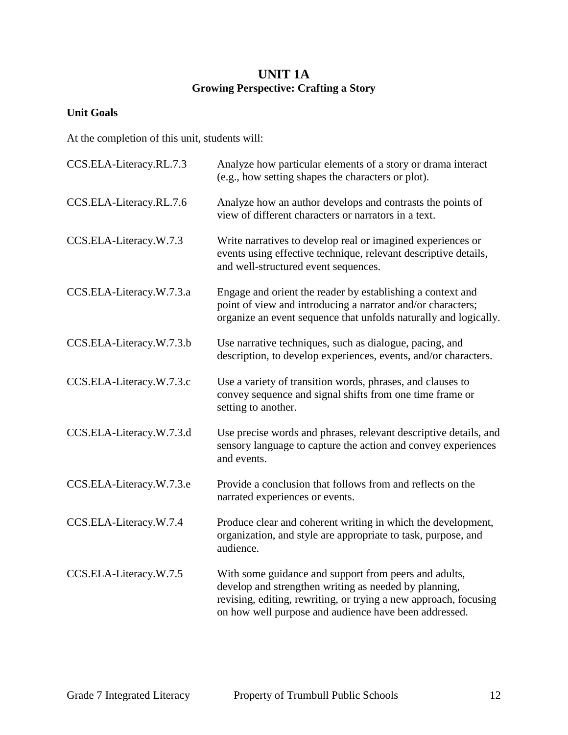## **UNIT 1A Growing Perspective: Crafting a Story**

## **Unit Goals**

At the completion of this unit, students will:

| CCS.ELA-Literacy.RL.7.3  | Analyze how particular elements of a story or drama interact<br>(e.g., how setting shapes the characters or plot).                                                                                                                          |
|--------------------------|---------------------------------------------------------------------------------------------------------------------------------------------------------------------------------------------------------------------------------------------|
| CCS.ELA-Literacy.RL.7.6  | Analyze how an author develops and contrasts the points of<br>view of different characters or narrators in a text.                                                                                                                          |
| CCS.ELA-Literacy.W.7.3   | Write narratives to develop real or imagined experiences or<br>events using effective technique, relevant descriptive details,<br>and well-structured event sequences.                                                                      |
| CCS.ELA-Literacy.W.7.3.a | Engage and orient the reader by establishing a context and<br>point of view and introducing a narrator and/or characters;<br>organize an event sequence that unfolds naturally and logically.                                               |
| CCS.ELA-Literacy.W.7.3.b | Use narrative techniques, such as dialogue, pacing, and<br>description, to develop experiences, events, and/or characters.                                                                                                                  |
| CCS.ELA-Literacy.W.7.3.c | Use a variety of transition words, phrases, and clauses to<br>convey sequence and signal shifts from one time frame or<br>setting to another.                                                                                               |
| CCS.ELA-Literacy.W.7.3.d | Use precise words and phrases, relevant descriptive details, and<br>sensory language to capture the action and convey experiences<br>and events.                                                                                            |
| CCS.ELA-Literacy.W.7.3.e | Provide a conclusion that follows from and reflects on the<br>narrated experiences or events.                                                                                                                                               |
| CCS.ELA-Literacy.W.7.4   | Produce clear and coherent writing in which the development,<br>organization, and style are appropriate to task, purpose, and<br>audience.                                                                                                  |
| CCS.ELA-Literacy.W.7.5   | With some guidance and support from peers and adults,<br>develop and strengthen writing as needed by planning,<br>revising, editing, rewriting, or trying a new approach, focusing<br>on how well purpose and audience have been addressed. |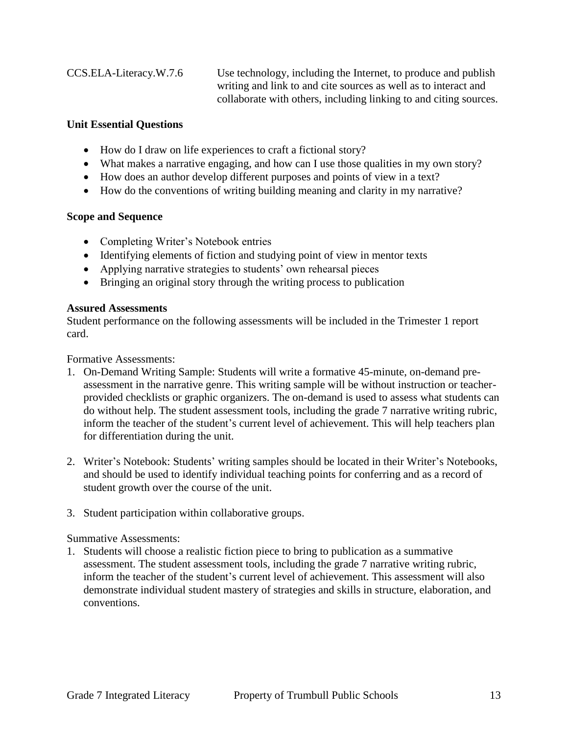CCS.ELA-Literacy.W.7.6 Use technology, including the Internet, to produce and publish writing and link to and cite sources as well as to interact and collaborate with others, including linking to and citing sources.

#### **Unit Essential Questions**

- How do I draw on life experiences to craft a fictional story?
- What makes a narrative engaging, and how can I use those qualities in my own story?
- How does an author develop different purposes and points of view in a text?
- How do the conventions of writing building meaning and clarity in my narrative?

## **Scope and Sequence**

- Completing Writer's Notebook entries
- Identifying elements of fiction and studying point of view in mentor texts
- Applying narrative strategies to students' own rehearsal pieces
- Bringing an original story through the writing process to publication

#### **Assured Assessments**

Student performance on the following assessments will be included in the Trimester 1 report card.

Formative Assessments:

- 1. On-Demand Writing Sample: Students will write a formative 45-minute, on-demand preassessment in the narrative genre. This writing sample will be without instruction or teacherprovided checklists or graphic organizers. The on-demand is used to assess what students can do without help. The student assessment tools, including the grade 7 narrative writing rubric, inform the teacher of the student's current level of achievement. This will help teachers plan for differentiation during the unit.
- 2. Writer's Notebook: Students' writing samples should be located in their Writer's Notebooks, and should be used to identify individual teaching points for conferring and as a record of student growth over the course of the unit.
- 3. Student participation within collaborative groups.

## Summative Assessments:

1. Students will choose a realistic fiction piece to bring to publication as a summative assessment. The student assessment tools, including the grade 7 narrative writing rubric, inform the teacher of the student's current level of achievement. This assessment will also demonstrate individual student mastery of strategies and skills in structure, elaboration, and conventions.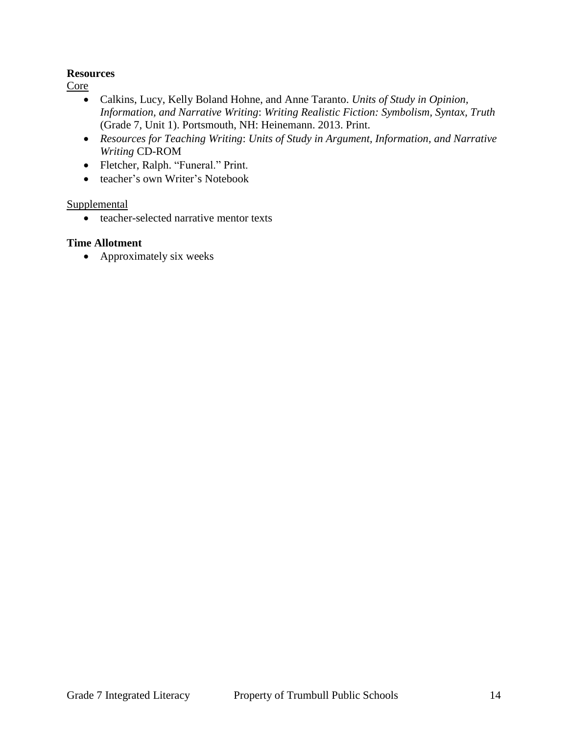#### **Resources**

Core

- Calkins, Lucy, Kelly Boland Hohne, and Anne Taranto. *Units of Study in Opinion, Information, and Narrative Writing*: *Writing Realistic Fiction: Symbolism, Syntax, Truth* (Grade 7, Unit 1). Portsmouth, NH: Heinemann. 2013. Print.
- *Resources for Teaching Writing*: *Units of Study in Argument, Information, and Narrative Writing* CD-ROM
- Fletcher, Ralph. "Funeral." Print.
- teacher's own Writer's Notebook

#### Supplemental

• teacher-selected narrative mentor texts

#### **Time Allotment**

• Approximately six weeks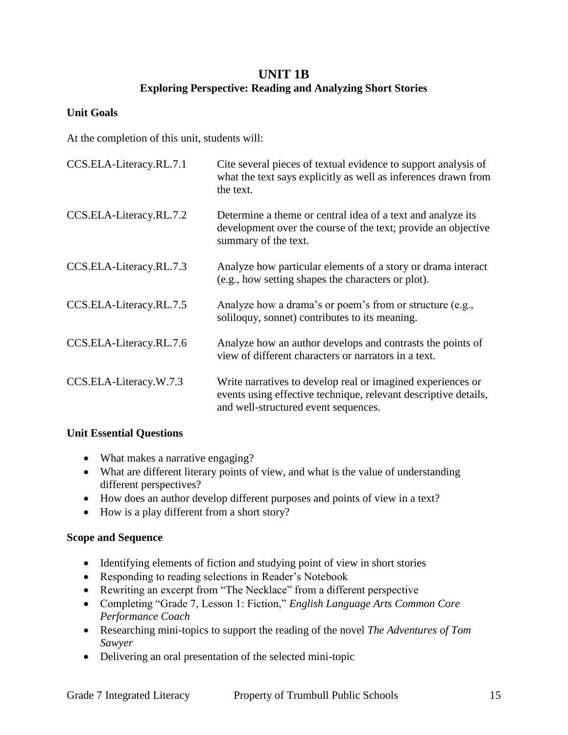## **UNIT 1B Exploring Perspective: Reading and Analyzing Short Stories**

#### **Unit Goals**

At the completion of this unit, students will:

| CCS.ELA-Literacy.RL.7.1 | Cite several pieces of textual evidence to support analysis of<br>what the text says explicitly as well as inferences drawn from<br>the text.                          |
|-------------------------|------------------------------------------------------------------------------------------------------------------------------------------------------------------------|
| CCS.ELA-Literacy.RL.7.2 | Determine a theme or central idea of a text and analyze its<br>development over the course of the text; provide an objective<br>summary of the text.                   |
| CCS.ELA-Literacy.RL.7.3 | Analyze how particular elements of a story or drama interact<br>(e.g., how setting shapes the characters or plot).                                                     |
| CCS.ELA-Literacy.RL.7.5 | Analyze how a drama's or poem's from or structure (e.g.,<br>soliloguy, sonnet) contributes to its meaning.                                                             |
| CCS.ELA-Literacy.RL.7.6 | Analyze how an author develops and contrasts the points of<br>view of different characters or narrators in a text.                                                     |
| CCS.ELA-Literacy.W.7.3  | Write narratives to develop real or imagined experiences or<br>events using effective technique, relevant descriptive details,<br>and well-structured event sequences. |

#### **Unit Essential Questions**

- What makes a narrative engaging?
- What are different literary points of view, and what is the value of understanding different perspectives?
- How does an author develop different purposes and points of view in a text?
- How is a play different from a short story?

#### **Scope and Sequence**

- Identifying elements of fiction and studying point of view in short stories
- Responding to reading selections in Reader's Notebook
- Rewriting an excerpt from "The Necklace" from a different perspective
- Completing "Grade 7, Lesson 1: Fiction," *English Language Arts Common Core Performance Coach*
- Researching mini-topics to support the reading of the novel *The Adventures of Tom Sawyer*
- Delivering an oral presentation of the selected mini-topic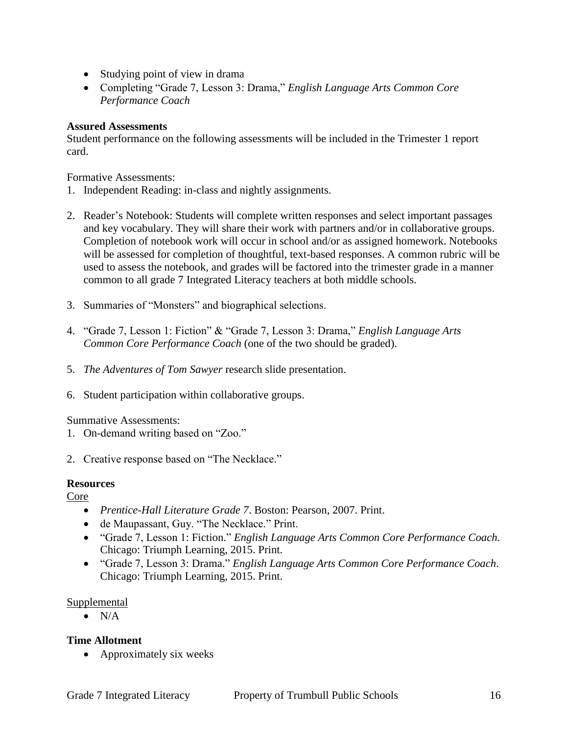- Studying point of view in drama
- Completing "Grade 7, Lesson 3: Drama," *English Language Arts Common Core Performance Coach*

#### **Assured Assessments**

Student performance on the following assessments will be included in the Trimester 1 report card.

Formative Assessments:

- 1. Independent Reading: in-class and nightly assignments.
- 2. Reader's Notebook: Students will complete written responses and select important passages and key vocabulary. They will share their work with partners and/or in collaborative groups. Completion of notebook work will occur in school and/or as assigned homework. Notebooks will be assessed for completion of thoughtful, text-based responses. A common rubric will be used to assess the notebook, and grades will be factored into the trimester grade in a manner common to all grade 7 Integrated Literacy teachers at both middle schools.
- 3. Summaries of "Monsters" and biographical selections.
- 4. "Grade 7, Lesson 1: Fiction" & "Grade 7, Lesson 3: Drama," *English Language Arts Common Core Performance Coach* (one of the two should be graded).
- 5. *The Adventures of Tom Sawyer* research slide presentation.
- 6. Student participation within collaborative groups.

Summative Assessments:

- 1. On-demand writing based on "Zoo."
- 2. Creative response based on "The Necklace."

#### **Resources**

Core

- *Prentice-Hall Literature Grade 7*. Boston: Pearson, 2007. Print.
- de Maupassant, Guy. "The Necklace." Print.
- "Grade 7, Lesson 1: Fiction." *English Language Arts Common Core Performance Coach*. Chicago: Triumph Learning, 2015. Print.
- "Grade 7, Lesson 3: Drama." *English Language Arts Common Core Performance Coach*. Chicago: Triumph Learning, 2015. Print.

#### Supplemental

 $\bullet$  N/A

#### **Time Allotment**

• Approximately six weeks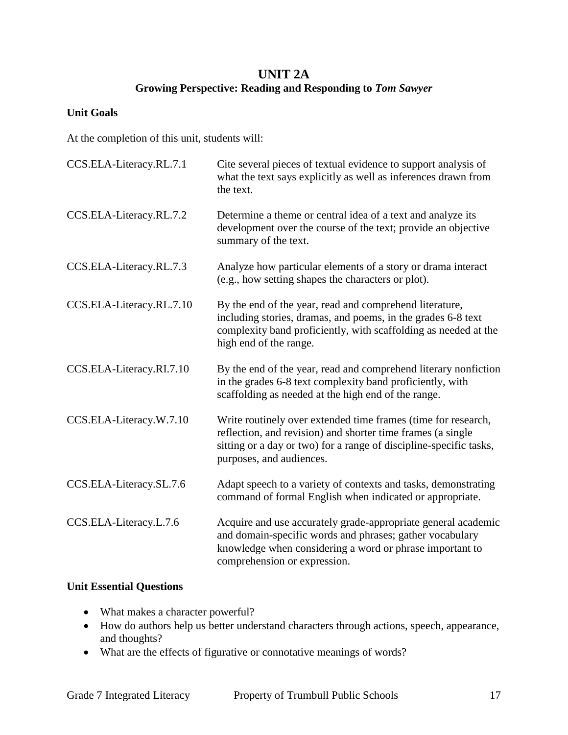## **UNIT 2A Growing Perspective: Reading and Responding to** *Tom Sawyer*

#### **Unit Goals**

At the completion of this unit, students will:

| CCS.ELA-Literacy.RL.7.1  | Cite several pieces of textual evidence to support analysis of<br>what the text says explicitly as well as inferences drawn from<br>the text.                                                                                  |
|--------------------------|--------------------------------------------------------------------------------------------------------------------------------------------------------------------------------------------------------------------------------|
| CCS.ELA-Literacy.RL.7.2  | Determine a theme or central idea of a text and analyze its<br>development over the course of the text; provide an objective<br>summary of the text.                                                                           |
| CCS.ELA-Literacy.RL.7.3  | Analyze how particular elements of a story or drama interact<br>(e.g., how setting shapes the characters or plot).                                                                                                             |
| CCS.ELA-Literacy.RL.7.10 | By the end of the year, read and comprehend literature,<br>including stories, dramas, and poems, in the grades 6-8 text<br>complexity band proficiently, with scaffolding as needed at the<br>high end of the range.           |
| CCS.ELA-Literacy.RI.7.10 | By the end of the year, read and comprehend literary nonfiction<br>in the grades 6-8 text complexity band proficiently, with<br>scaffolding as needed at the high end of the range.                                            |
| CCS.ELA-Literacy.W.7.10  | Write routinely over extended time frames (time for research,<br>reflection, and revision) and shorter time frames (a single<br>sitting or a day or two) for a range of discipline-specific tasks,<br>purposes, and audiences. |
| CCS.ELA-Literacy.SL.7.6  | Adapt speech to a variety of contexts and tasks, demonstrating<br>command of formal English when indicated or appropriate.                                                                                                     |
| CCS.ELA-Literacy.L.7.6   | Acquire and use accurately grade-appropriate general academic<br>and domain-specific words and phrases; gather vocabulary<br>knowledge when considering a word or phrase important to<br>comprehension or expression.          |

## **Unit Essential Questions**

- What makes a character powerful?
- How do authors help us better understand characters through actions, speech, appearance, and thoughts?
- What are the effects of figurative or connotative meanings of words?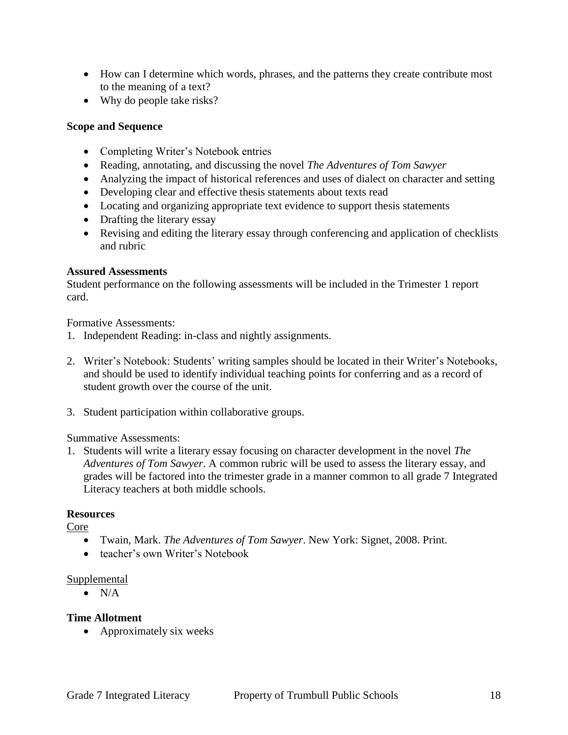- How can I determine which words, phrases, and the patterns they create contribute most to the meaning of a text?
- Why do people take risks?

#### **Scope and Sequence**

- Completing Writer's Notebook entries
- Reading, annotating, and discussing the novel *The Adventures of Tom Sawyer*
- Analyzing the impact of historical references and uses of dialect on character and setting
- Developing clear and effective thesis statements about texts read
- Locating and organizing appropriate text evidence to support thesis statements
- Drafting the literary essay
- Revising and editing the literary essay through conferencing and application of checklists and rubric

#### **Assured Assessments**

Student performance on the following assessments will be included in the Trimester 1 report card.

Formative Assessments:

- 1. Independent Reading: in-class and nightly assignments.
- 2. Writer's Notebook: Students' writing samples should be located in their Writer's Notebooks, and should be used to identify individual teaching points for conferring and as a record of student growth over the course of the unit.
- 3. Student participation within collaborative groups.

#### Summative Assessments:

1. Students will write a literary essay focusing on character development in the novel *The Adventures of Tom Sawyer*. A common rubric will be used to assess the literary essay, and grades will be factored into the trimester grade in a manner common to all grade 7 Integrated Literacy teachers at both middle schools.

#### **Resources**

Core

- Twain, Mark. *The Adventures of Tom Sawyer*. New York: Signet, 2008. Print.
- teacher's own Writer's Notebook

#### Supplemental

 $\bullet$  N/A

#### **Time Allotment**

• Approximately six weeks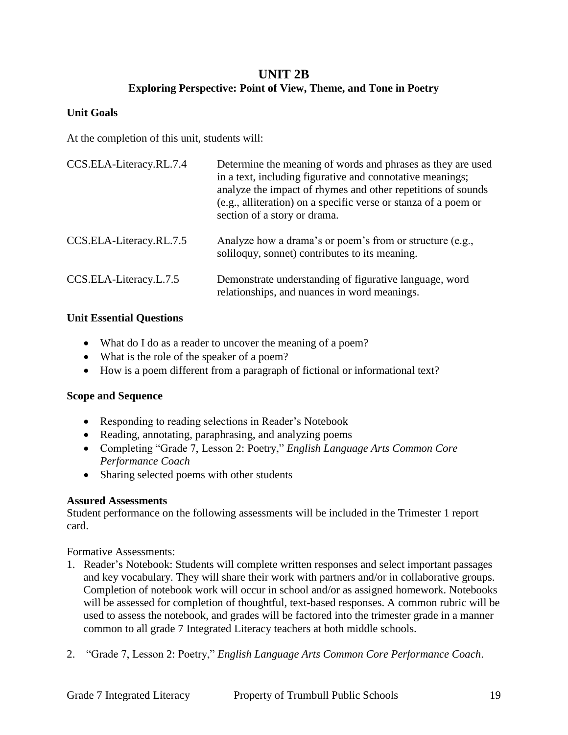## **UNIT 2B Exploring Perspective: Point of View, Theme, and Tone in Poetry**

#### **Unit Goals**

At the completion of this unit, students will:

| CCS.ELA-Literacy.RL.7.4 | Determine the meaning of words and phrases as they are used<br>in a text, including figurative and connotative meanings;<br>analyze the impact of rhymes and other repetitions of sounds<br>(e.g., alliteration) on a specific verse or stanza of a poem or<br>section of a story or drama. |
|-------------------------|---------------------------------------------------------------------------------------------------------------------------------------------------------------------------------------------------------------------------------------------------------------------------------------------|
| CCS.ELA-Literacy.RL.7.5 | Analyze how a drama's or poem's from or structure (e.g.,<br>soliloquy, sonnet) contributes to its meaning.                                                                                                                                                                                  |
| CCS.ELA-Literacy.L.7.5  | Demonstrate understanding of figurative language, word<br>relationships, and nuances in word meanings.                                                                                                                                                                                      |

#### **Unit Essential Questions**

- What do I do as a reader to uncover the meaning of a poem?
- What is the role of the speaker of a poem?
- How is a poem different from a paragraph of fictional or informational text?

#### **Scope and Sequence**

- Responding to reading selections in Reader's Notebook
- Reading, annotating, paraphrasing, and analyzing poems
- Completing "Grade 7, Lesson 2: Poetry," *English Language Arts Common Core Performance Coach*
- Sharing selected poems with other students

#### **Assured Assessments**

Student performance on the following assessments will be included in the Trimester 1 report card.

Formative Assessments:

- 1. Reader's Notebook: Students will complete written responses and select important passages and key vocabulary. They will share their work with partners and/or in collaborative groups. Completion of notebook work will occur in school and/or as assigned homework. Notebooks will be assessed for completion of thoughtful, text-based responses. A common rubric will be used to assess the notebook, and grades will be factored into the trimester grade in a manner common to all grade 7 Integrated Literacy teachers at both middle schools.
- 2. "Grade 7, Lesson 2: Poetry," *English Language Arts Common Core Performance Coach*.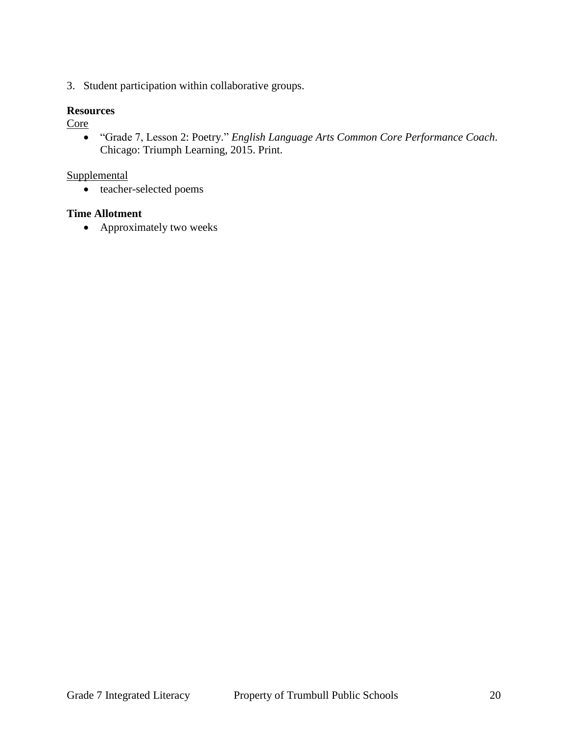3. Student participation within collaborative groups.

#### **Resources**

Core

 "Grade 7, Lesson 2: Poetry." *English Language Arts Common Core Performance Coach*. Chicago: Triumph Learning, 2015. Print.

#### Supplemental

• teacher-selected poems

#### **Time Allotment**

• Approximately two weeks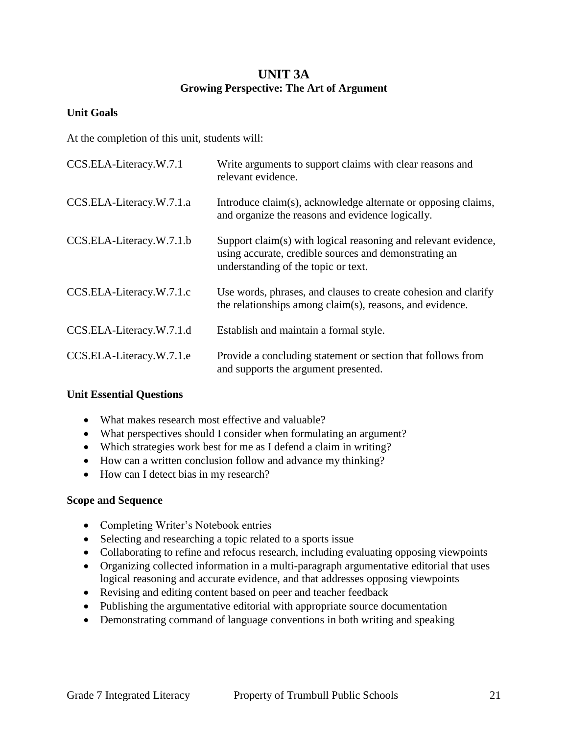## **UNIT 3A Growing Perspective: The Art of Argument**

#### **Unit Goals**

At the completion of this unit, students will:

| CCS.ELA-Literacy.W.7.1   | Write arguments to support claims with clear reasons and<br>relevant evidence.                                                                                 |
|--------------------------|----------------------------------------------------------------------------------------------------------------------------------------------------------------|
| CCS.ELA-Literacy.W.7.1.a | Introduce claim(s), acknowledge alternate or opposing claims,<br>and organize the reasons and evidence logically.                                              |
| CCS.ELA-Literacy.W.7.1.b | Support claim(s) with logical reasoning and relevant evidence,<br>using accurate, credible sources and demonstrating an<br>understanding of the topic or text. |
| CCS.ELA-Literacy.W.7.1.c | Use words, phrases, and clauses to create cohesion and clarify<br>the relationships among claim(s), reasons, and evidence.                                     |
| CCS.ELA-Literacy.W.7.1.d | Establish and maintain a formal style.                                                                                                                         |
| CCS.ELA-Literacy.W.7.1.e | Provide a concluding statement or section that follows from<br>and supports the argument presented.                                                            |

#### **Unit Essential Questions**

- What makes research most effective and valuable?
- What perspectives should I consider when formulating an argument?
- Which strategies work best for me as I defend a claim in writing?
- How can a written conclusion follow and advance my thinking?
- How can I detect bias in my research?

#### **Scope and Sequence**

- Completing Writer's Notebook entries
- Selecting and researching a topic related to a sports issue
- Collaborating to refine and refocus research, including evaluating opposing viewpoints
- Organizing collected information in a multi-paragraph argumentative editorial that uses logical reasoning and accurate evidence, and that addresses opposing viewpoints
- Revising and editing content based on peer and teacher feedback
- Publishing the argumentative editorial with appropriate source documentation
- Demonstrating command of language conventions in both writing and speaking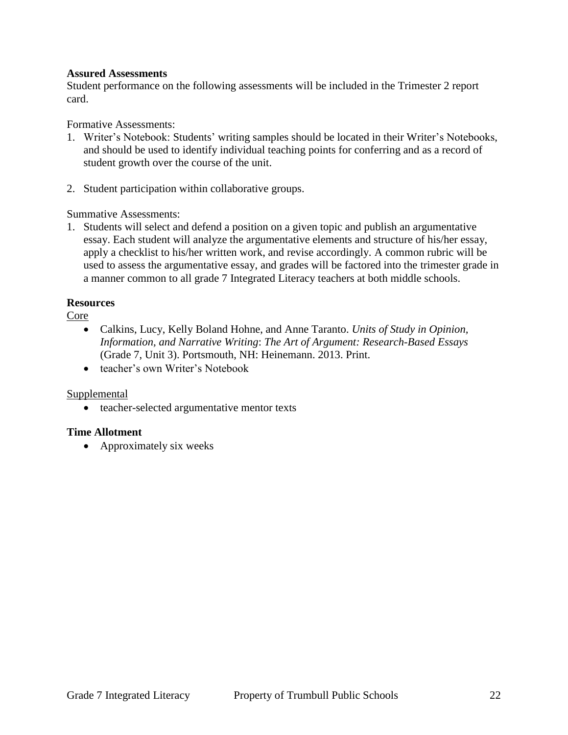#### **Assured Assessments**

Student performance on the following assessments will be included in the Trimester 2 report card.

Formative Assessments:

- 1. Writer's Notebook: Students' writing samples should be located in their Writer's Notebooks, and should be used to identify individual teaching points for conferring and as a record of student growth over the course of the unit.
- 2. Student participation within collaborative groups.

Summative Assessments:

1. Students will select and defend a position on a given topic and publish an argumentative essay. Each student will analyze the argumentative elements and structure of his/her essay, apply a checklist to his/her written work, and revise accordingly. A common rubric will be used to assess the argumentative essay, and grades will be factored into the trimester grade in a manner common to all grade 7 Integrated Literacy teachers at both middle schools.

#### **Resources**

Core

- Calkins, Lucy, Kelly Boland Hohne, and Anne Taranto. *Units of Study in Opinion, Information, and Narrative Writing*: *The Art of Argument: Research-Based Essays* (Grade 7, Unit 3). Portsmouth, NH: Heinemann. 2013. Print.
- teacher's own Writer's Notebook

#### Supplemental

• teacher-selected argumentative mentor texts

#### **Time Allotment**

• Approximately six weeks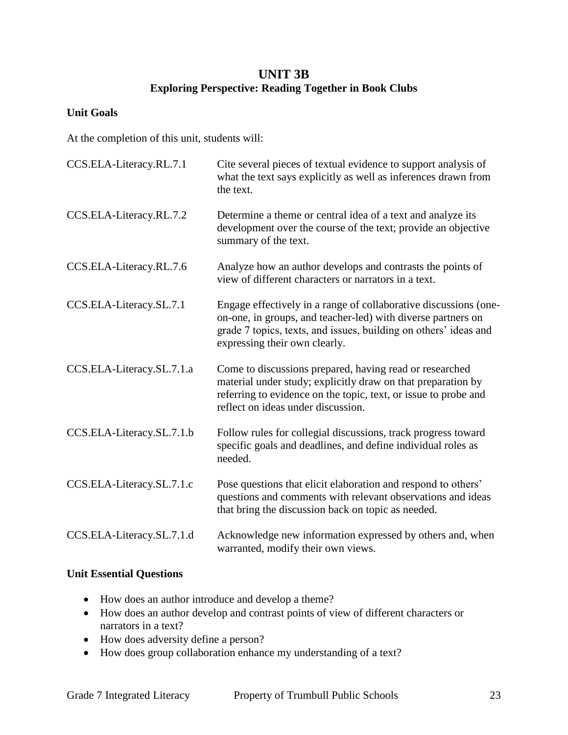## **UNIT 3B Exploring Perspective: Reading Together in Book Clubs**

#### **Unit Goals**

At the completion of this unit, students will:

| CCS.ELA-Literacy.RL.7.1   | Cite several pieces of textual evidence to support analysis of<br>what the text says explicitly as well as inferences drawn from<br>the text.                                                                                         |
|---------------------------|---------------------------------------------------------------------------------------------------------------------------------------------------------------------------------------------------------------------------------------|
| CCS.ELA-Literacy.RL.7.2   | Determine a theme or central idea of a text and analyze its<br>development over the course of the text; provide an objective<br>summary of the text.                                                                                  |
| CCS.ELA-Literacy.RL.7.6   | Analyze how an author develops and contrasts the points of<br>view of different characters or narrators in a text.                                                                                                                    |
| CCS.ELA-Literacy.SL.7.1   | Engage effectively in a range of collaborative discussions (one-<br>on-one, in groups, and teacher-led) with diverse partners on<br>grade 7 topics, texts, and issues, building on others' ideas and<br>expressing their own clearly. |
| CCS.ELA-Literacy.SL.7.1.a | Come to discussions prepared, having read or researched<br>material under study; explicitly draw on that preparation by<br>referring to evidence on the topic, text, or issue to probe and<br>reflect on ideas under discussion.      |
| CCS.ELA-Literacy.SL.7.1.b | Follow rules for collegial discussions, track progress toward<br>specific goals and deadlines, and define individual roles as<br>needed.                                                                                              |
| CCS.ELA-Literacy.SL.7.1.c | Pose questions that elicit elaboration and respond to others'<br>questions and comments with relevant observations and ideas<br>that bring the discussion back on topic as needed.                                                    |
| CCS.ELA-Literacy.SL.7.1.d | Acknowledge new information expressed by others and, when<br>warranted, modify their own views.                                                                                                                                       |

#### **Unit Essential Questions**

- How does an author introduce and develop a theme?
- How does an author develop and contrast points of view of different characters or narrators in a text?
- How does adversity define a person?
- How does group collaboration enhance my understanding of a text?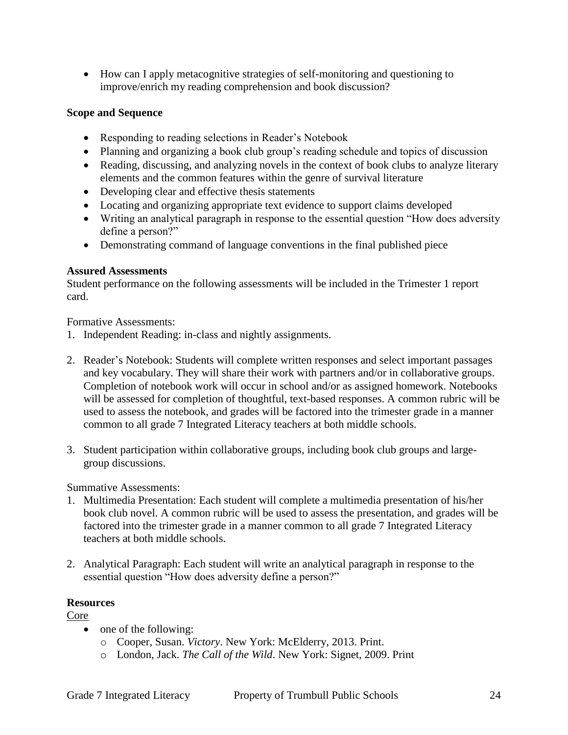How can I apply metacognitive strategies of self-monitoring and questioning to improve/enrich my reading comprehension and book discussion?

#### **Scope and Sequence**

- Responding to reading selections in Reader's Notebook
- Planning and organizing a book club group's reading schedule and topics of discussion
- Reading, discussing, and analyzing novels in the context of book clubs to analyze literary elements and the common features within the genre of survival literature
- Developing clear and effective thesis statements
- Locating and organizing appropriate text evidence to support claims developed
- Writing an analytical paragraph in response to the essential question "How does adversity define a person?"
- Demonstrating command of language conventions in the final published piece

#### **Assured Assessments**

Student performance on the following assessments will be included in the Trimester 1 report card.

Formative Assessments:

- 1. Independent Reading: in-class and nightly assignments.
- 2. Reader's Notebook: Students will complete written responses and select important passages and key vocabulary. They will share their work with partners and/or in collaborative groups. Completion of notebook work will occur in school and/or as assigned homework. Notebooks will be assessed for completion of thoughtful, text-based responses. A common rubric will be used to assess the notebook, and grades will be factored into the trimester grade in a manner common to all grade 7 Integrated Literacy teachers at both middle schools.
- 3. Student participation within collaborative groups, including book club groups and largegroup discussions.

Summative Assessments:

- 1. Multimedia Presentation: Each student will complete a multimedia presentation of his/her book club novel. A common rubric will be used to assess the presentation, and grades will be factored into the trimester grade in a manner common to all grade 7 Integrated Literacy teachers at both middle schools.
- 2. Analytical Paragraph: Each student will write an analytical paragraph in response to the essential question "How does adversity define a person?"

## **Resources**

Core

- one of the following:
	- o Cooper, Susan. *Victory*. New York: McElderry, 2013. Print.
	- o London, Jack. *The Call of the Wild*. New York: Signet, 2009. Print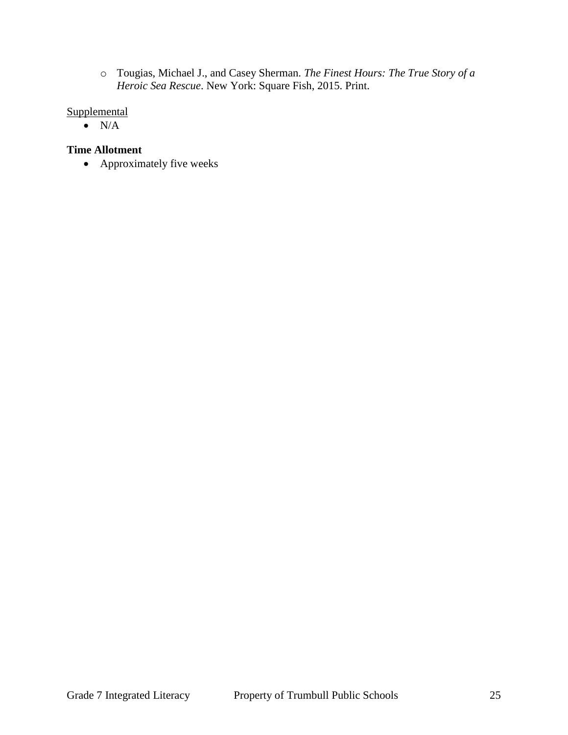o Tougias, Michael J., and Casey Sherman. *The Finest Hours: The True Story of a Heroic Sea Rescue*. New York: Square Fish, 2015. Print.

#### **Supplemental**

 $\bullet$  N/A

## **Time Allotment**

• Approximately five weeks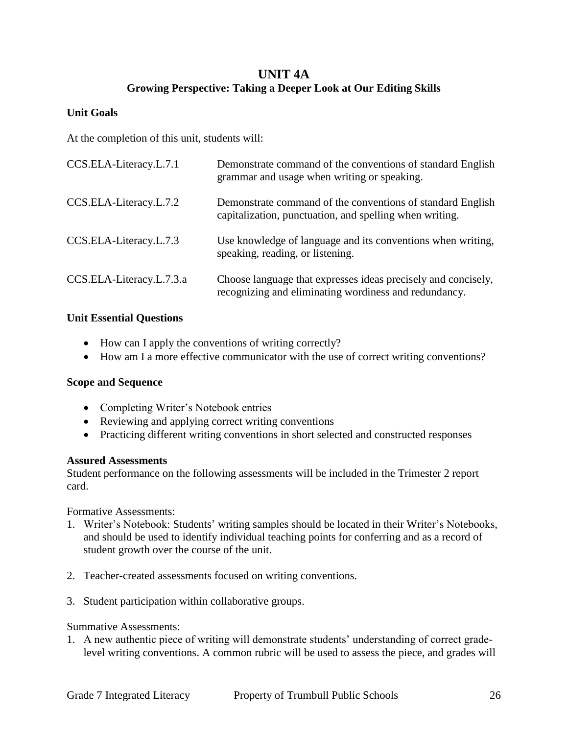## **UNIT 4A Growing Perspective: Taking a Deeper Look at Our Editing Skills**

#### **Unit Goals**

At the completion of this unit, students will:

| CCS.ELA-Literacy.L.7.1   | Demonstrate command of the conventions of standard English<br>grammar and usage when writing or speaking.              |
|--------------------------|------------------------------------------------------------------------------------------------------------------------|
| CCS.ELA-Literacy.L.7.2   | Demonstrate command of the conventions of standard English<br>capitalization, punctuation, and spelling when writing.  |
| CCS.ELA-Literacy.L.7.3   | Use knowledge of language and its conventions when writing,<br>speaking, reading, or listening.                        |
| CCS.ELA-Literacy.L.7.3.a | Choose language that expresses ideas precisely and concisely,<br>recognizing and eliminating wordiness and redundancy. |

#### **Unit Essential Questions**

- How can I apply the conventions of writing correctly?
- How am I a more effective communicator with the use of correct writing conventions?

#### **Scope and Sequence**

- Completing Writer's Notebook entries
- Reviewing and applying correct writing conventions
- Practicing different writing conventions in short selected and constructed responses

#### **Assured Assessments**

Student performance on the following assessments will be included in the Trimester 2 report card.

Formative Assessments:

- 1. Writer's Notebook: Students' writing samples should be located in their Writer's Notebooks, and should be used to identify individual teaching points for conferring and as a record of student growth over the course of the unit.
- 2. Teacher-created assessments focused on writing conventions.
- 3. Student participation within collaborative groups.

#### Summative Assessments:

1. A new authentic piece of writing will demonstrate students' understanding of correct gradelevel writing conventions. A common rubric will be used to assess the piece, and grades will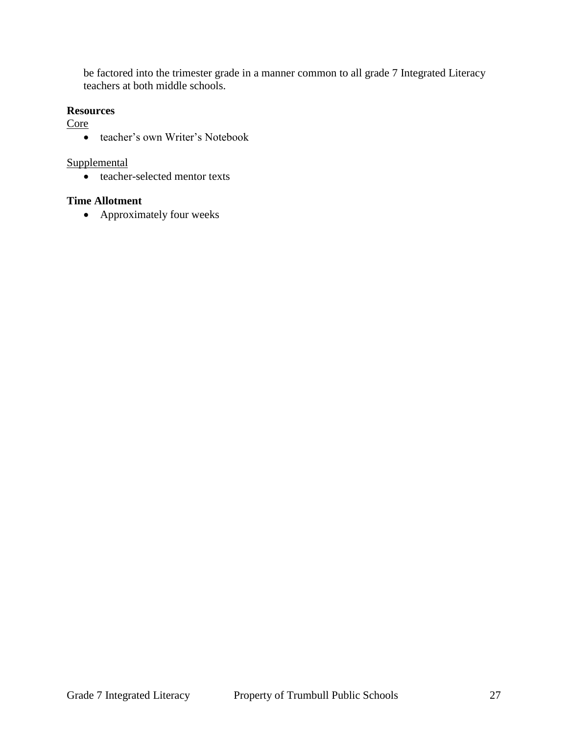be factored into the trimester grade in a manner common to all grade 7 Integrated Literacy teachers at both middle schools.

#### **Resources**

Core

teacher's own Writer's Notebook

#### **Supplemental**

• teacher-selected mentor texts

#### **Time Allotment**

• Approximately four weeks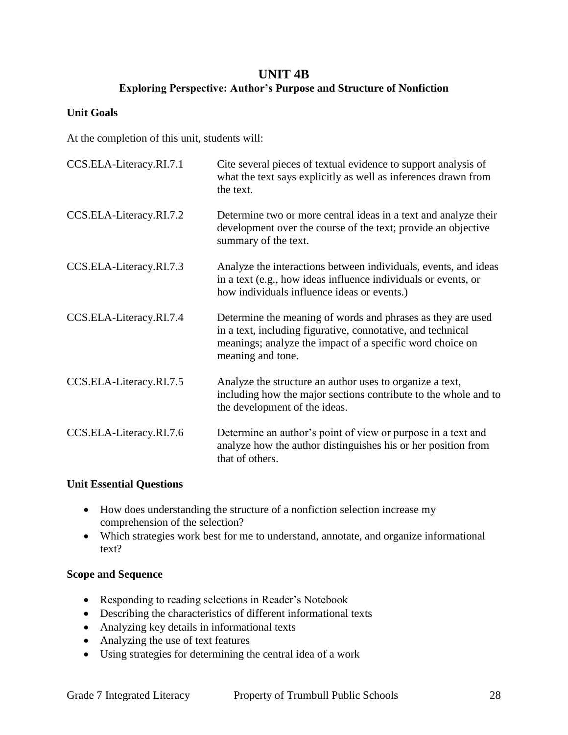## **UNIT 4B Exploring Perspective: Author's Purpose and Structure of Nonfiction**

#### **Unit Goals**

At the completion of this unit, students will:

| CCS.ELA-Literacy.RI.7.1 | Cite several pieces of textual evidence to support analysis of<br>what the text says explicitly as well as inferences drawn from<br>the text.                                                                |
|-------------------------|--------------------------------------------------------------------------------------------------------------------------------------------------------------------------------------------------------------|
| CCS.ELA-Literacy.RI.7.2 | Determine two or more central ideas in a text and analyze their<br>development over the course of the text; provide an objective<br>summary of the text.                                                     |
| CCS.ELA-Literacy.RI.7.3 | Analyze the interactions between individuals, events, and ideas<br>in a text (e.g., how ideas influence individuals or events, or<br>how individuals influence ideas or events.)                             |
| CCS.ELA-Literacy.RI.7.4 | Determine the meaning of words and phrases as they are used<br>in a text, including figurative, connotative, and technical<br>meanings; analyze the impact of a specific word choice on<br>meaning and tone. |
| CCS.ELA-Literacy.RI.7.5 | Analyze the structure an author uses to organize a text,<br>including how the major sections contribute to the whole and to<br>the development of the ideas.                                                 |
| CCS.ELA-Literacy.RI.7.6 | Determine an author's point of view or purpose in a text and<br>analyze how the author distinguishes his or her position from<br>that of others.                                                             |

#### **Unit Essential Questions**

- How does understanding the structure of a nonfiction selection increase my comprehension of the selection?
- Which strategies work best for me to understand, annotate, and organize informational text?

#### **Scope and Sequence**

- Responding to reading selections in Reader's Notebook
- Describing the characteristics of different informational texts
- Analyzing key details in informational texts
- Analyzing the use of text features
- Using strategies for determining the central idea of a work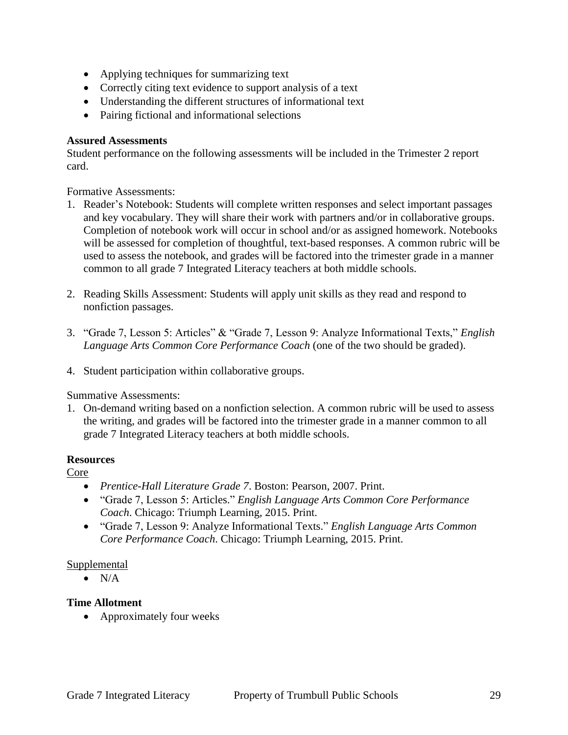- Applying techniques for summarizing text
- Correctly citing text evidence to support analysis of a text
- Understanding the different structures of informational text
- Pairing fictional and informational selections

#### **Assured Assessments**

Student performance on the following assessments will be included in the Trimester 2 report card.

Formative Assessments:

- 1. Reader's Notebook: Students will complete written responses and select important passages and key vocabulary. They will share their work with partners and/or in collaborative groups. Completion of notebook work will occur in school and/or as assigned homework. Notebooks will be assessed for completion of thoughtful, text-based responses. A common rubric will be used to assess the notebook, and grades will be factored into the trimester grade in a manner common to all grade 7 Integrated Literacy teachers at both middle schools.
- 2. Reading Skills Assessment: Students will apply unit skills as they read and respond to nonfiction passages.
- 3. "Grade 7, Lesson 5: Articles" & "Grade 7, Lesson 9: Analyze Informational Texts," *English Language Arts Common Core Performance Coach* (one of the two should be graded).
- 4. Student participation within collaborative groups.

Summative Assessments:

1. On-demand writing based on a nonfiction selection. A common rubric will be used to assess the writing, and grades will be factored into the trimester grade in a manner common to all grade 7 Integrated Literacy teachers at both middle schools.

#### **Resources**

Core

- *Prentice-Hall Literature Grade 7*. Boston: Pearson, 2007. Print.
- "Grade 7, Lesson 5: Articles." *English Language Arts Common Core Performance Coach*. Chicago: Triumph Learning, 2015. Print.
- "Grade 7, Lesson 9: Analyze Informational Texts." *English Language Arts Common Core Performance Coach*. Chicago: Triumph Learning, 2015. Print.

#### Supplemental

 $\bullet$  N/A

#### **Time Allotment**

• Approximately four weeks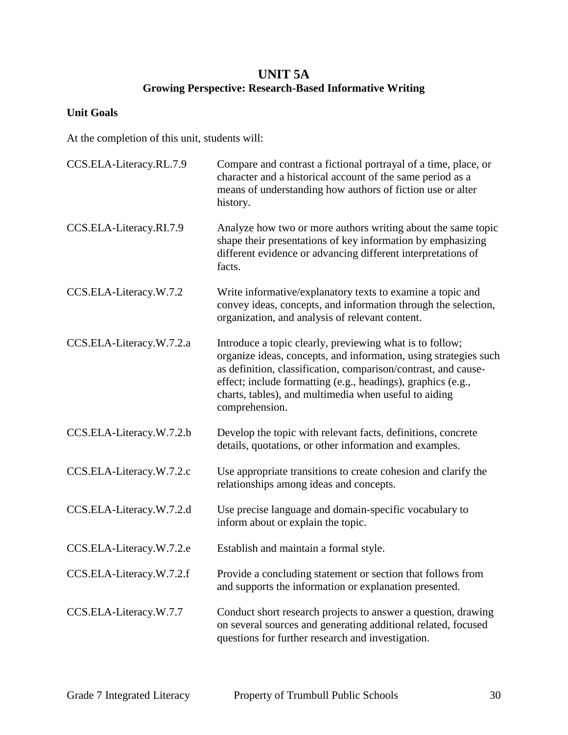## **UNIT 5A Growing Perspective: Research-Based Informative Writing**

## **Unit Goals**

At the completion of this unit, students will:

| CCS.ELA-Literacy.RL.7.9  | Compare and contrast a fictional portrayal of a time, place, or<br>character and a historical account of the same period as a<br>means of understanding how authors of fiction use or alter<br>history.                                                                                                                                   |
|--------------------------|-------------------------------------------------------------------------------------------------------------------------------------------------------------------------------------------------------------------------------------------------------------------------------------------------------------------------------------------|
| CCS.ELA-Literacy.RI.7.9  | Analyze how two or more authors writing about the same topic<br>shape their presentations of key information by emphasizing<br>different evidence or advancing different interpretations of<br>facts.                                                                                                                                     |
| CCS.ELA-Literacy.W.7.2   | Write informative/explanatory texts to examine a topic and<br>convey ideas, concepts, and information through the selection,<br>organization, and analysis of relevant content.                                                                                                                                                           |
| CCS.ELA-Literacy.W.7.2.a | Introduce a topic clearly, previewing what is to follow;<br>organize ideas, concepts, and information, using strategies such<br>as definition, classification, comparison/contrast, and cause-<br>effect; include formatting (e.g., headings), graphics (e.g.,<br>charts, tables), and multimedia when useful to aiding<br>comprehension. |
| CCS.ELA-Literacy.W.7.2.b | Develop the topic with relevant facts, definitions, concrete<br>details, quotations, or other information and examples.                                                                                                                                                                                                                   |
| CCS.ELA-Literacy.W.7.2.c | Use appropriate transitions to create cohesion and clarify the<br>relationships among ideas and concepts.                                                                                                                                                                                                                                 |
| CCS.ELA-Literacy.W.7.2.d | Use precise language and domain-specific vocabulary to<br>inform about or explain the topic.                                                                                                                                                                                                                                              |
| CCS.ELA-Literacy.W.7.2.e | Establish and maintain a formal style.                                                                                                                                                                                                                                                                                                    |
| CCS.ELA-Literacy.W.7.2.f | Provide a concluding statement or section that follows from<br>and supports the information or explanation presented.                                                                                                                                                                                                                     |
| CCS.ELA-Literacy.W.7.7   | Conduct short research projects to answer a question, drawing<br>on several sources and generating additional related, focused<br>questions for further research and investigation.                                                                                                                                                       |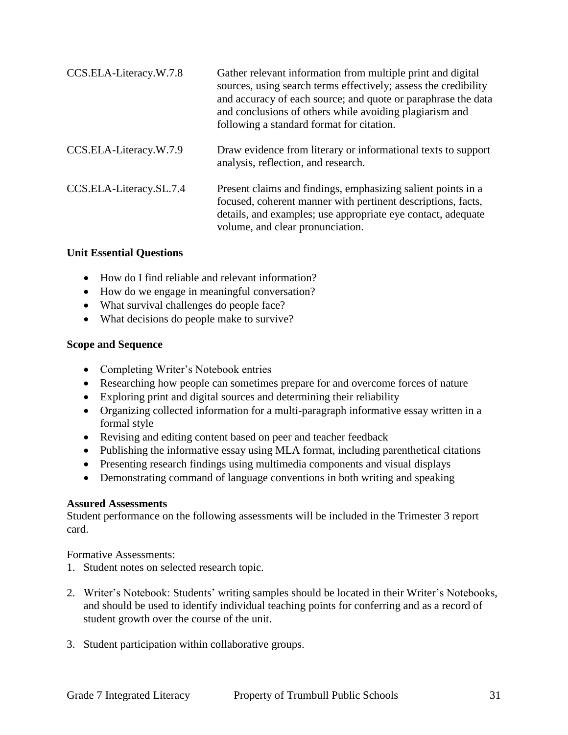| CCS.ELA-Literacy.W.7.8  | Gather relevant information from multiple print and digital<br>sources, using search terms effectively; assess the credibility<br>and accuracy of each source; and quote or paraphrase the data<br>and conclusions of others while avoiding plagiarism and<br>following a standard format for citation. |
|-------------------------|---------------------------------------------------------------------------------------------------------------------------------------------------------------------------------------------------------------------------------------------------------------------------------------------------------|
| CCS.ELA-Literacy.W.7.9  | Draw evidence from literary or informational texts to support<br>analysis, reflection, and research.                                                                                                                                                                                                    |
| CCS.ELA-Literacy.SL.7.4 | Present claims and findings, emphasizing salient points in a<br>focused, coherent manner with pertinent descriptions, facts,<br>details, and examples; use appropriate eye contact, adequate<br>volume, and clear pronunciation.                                                                        |

#### **Unit Essential Questions**

- How do I find reliable and relevant information?
- How do we engage in meaningful conversation?
- What survival challenges do people face?
- What decisions do people make to survive?

#### **Scope and Sequence**

- Completing Writer's Notebook entries
- Researching how people can sometimes prepare for and overcome forces of nature
- Exploring print and digital sources and determining their reliability
- Organizing collected information for a multi-paragraph informative essay written in a formal style
- Revising and editing content based on peer and teacher feedback
- Publishing the informative essay using MLA format, including parenthetical citations
- Presenting research findings using multimedia components and visual displays
- Demonstrating command of language conventions in both writing and speaking

#### **Assured Assessments**

Student performance on the following assessments will be included in the Trimester 3 report card.

Formative Assessments:

- 1. Student notes on selected research topic.
- 2. Writer's Notebook: Students' writing samples should be located in their Writer's Notebooks, and should be used to identify individual teaching points for conferring and as a record of student growth over the course of the unit.
- 3. Student participation within collaborative groups.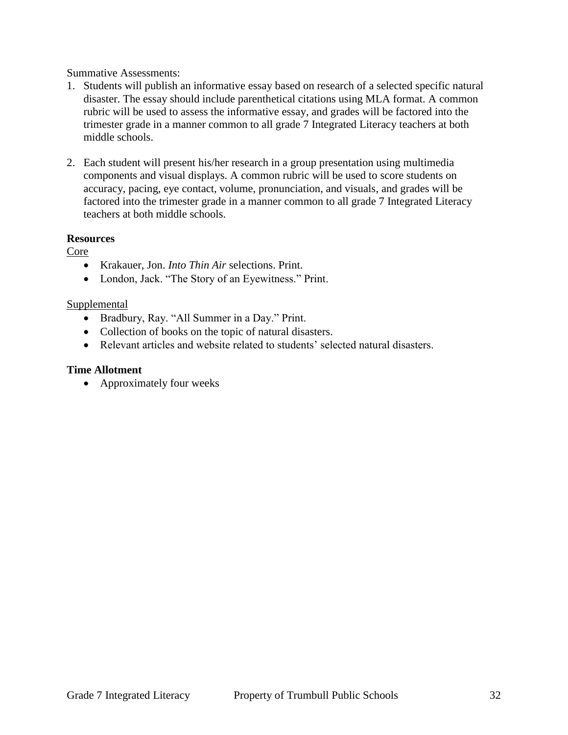Summative Assessments:

- 1. Students will publish an informative essay based on research of a selected specific natural disaster. The essay should include parenthetical citations using MLA format. A common rubric will be used to assess the informative essay, and grades will be factored into the trimester grade in a manner common to all grade 7 Integrated Literacy teachers at both middle schools.
- 2. Each student will present his/her research in a group presentation using multimedia components and visual displays. A common rubric will be used to score students on accuracy, pacing, eye contact, volume, pronunciation, and visuals, and grades will be factored into the trimester grade in a manner common to all grade 7 Integrated Literacy teachers at both middle schools.

#### **Resources**

Core

- Krakauer, Jon. *Into Thin Air* selections. Print.
- London, Jack. "The Story of an Eyewitness." Print.

#### Supplemental

- Bradbury, Ray. "All Summer in a Day." Print.
- Collection of books on the topic of natural disasters.
- Relevant articles and website related to students' selected natural disasters.

#### **Time Allotment**

• Approximately four weeks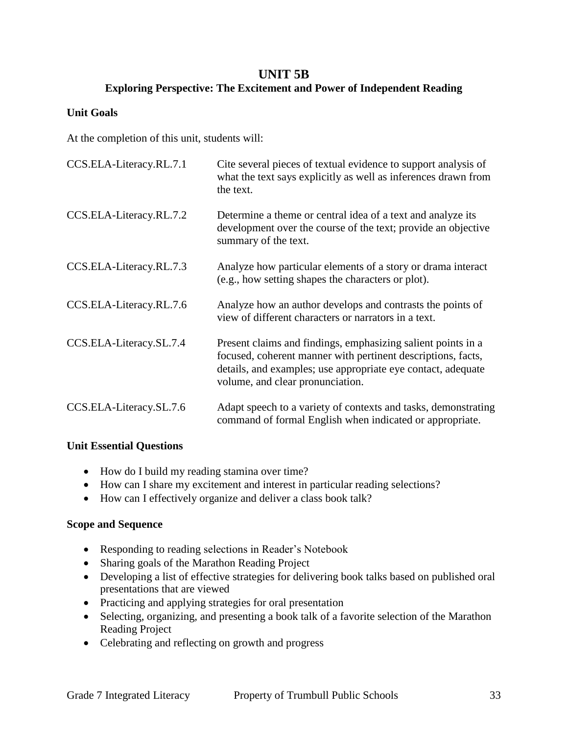## **UNIT 5B**

## **Exploring Perspective: The Excitement and Power of Independent Reading**

#### **Unit Goals**

At the completion of this unit, students will:

| CCS.ELA-Literacy.RL.7.1 | Cite several pieces of textual evidence to support analysis of<br>what the text says explicitly as well as inferences drawn from<br>the text.                                                                                    |
|-------------------------|----------------------------------------------------------------------------------------------------------------------------------------------------------------------------------------------------------------------------------|
| CCS.ELA-Literacy.RL.7.2 | Determine a theme or central idea of a text and analyze its<br>development over the course of the text; provide an objective<br>summary of the text.                                                                             |
| CCS.ELA-Literacy.RL.7.3 | Analyze how particular elements of a story or drama interact<br>(e.g., how setting shapes the characters or plot).                                                                                                               |
| CCS.ELA-Literacy.RL.7.6 | Analyze how an author develops and contrasts the points of<br>view of different characters or narrators in a text.                                                                                                               |
| CCS.ELA-Literacy.SL.7.4 | Present claims and findings, emphasizing salient points in a<br>focused, coherent manner with pertinent descriptions, facts,<br>details, and examples; use appropriate eye contact, adequate<br>volume, and clear pronunciation. |
| CCS.ELA-Literacy.SL.7.6 | Adapt speech to a variety of contexts and tasks, demonstrating<br>command of formal English when indicated or appropriate.                                                                                                       |

#### **Unit Essential Questions**

- How do I build my reading stamina over time?
- How can I share my excitement and interest in particular reading selections?
- How can I effectively organize and deliver a class book talk?

#### **Scope and Sequence**

- Responding to reading selections in Reader's Notebook
- Sharing goals of the Marathon Reading Project
- Developing a list of effective strategies for delivering book talks based on published oral presentations that are viewed
- Practicing and applying strategies for oral presentation
- Selecting, organizing, and presenting a book talk of a favorite selection of the Marathon Reading Project
- Celebrating and reflecting on growth and progress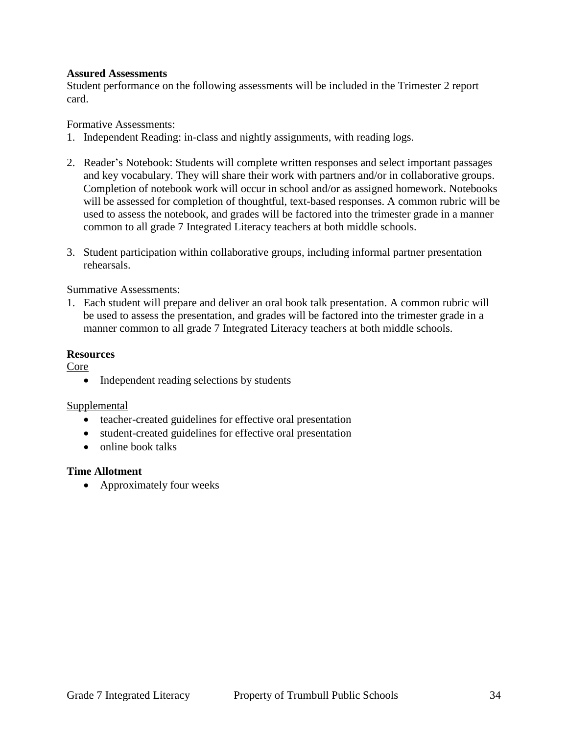#### **Assured Assessments**

Student performance on the following assessments will be included in the Trimester 2 report card.

Formative Assessments:

- 1. Independent Reading: in-class and nightly assignments, with reading logs.
- 2. Reader's Notebook: Students will complete written responses and select important passages and key vocabulary. They will share their work with partners and/or in collaborative groups. Completion of notebook work will occur in school and/or as assigned homework. Notebooks will be assessed for completion of thoughtful, text-based responses. A common rubric will be used to assess the notebook, and grades will be factored into the trimester grade in a manner common to all grade 7 Integrated Literacy teachers at both middle schools.
- 3. Student participation within collaborative groups, including informal partner presentation rehearsals.

Summative Assessments:

1. Each student will prepare and deliver an oral book talk presentation. A common rubric will be used to assess the presentation, and grades will be factored into the trimester grade in a manner common to all grade 7 Integrated Literacy teachers at both middle schools.

#### **Resources**

Core

• Independent reading selections by students

#### Supplemental

- teacher-created guidelines for effective oral presentation
- student-created guidelines for effective oral presentation
- $\bullet$  online book talks

#### **Time Allotment**

• Approximately four weeks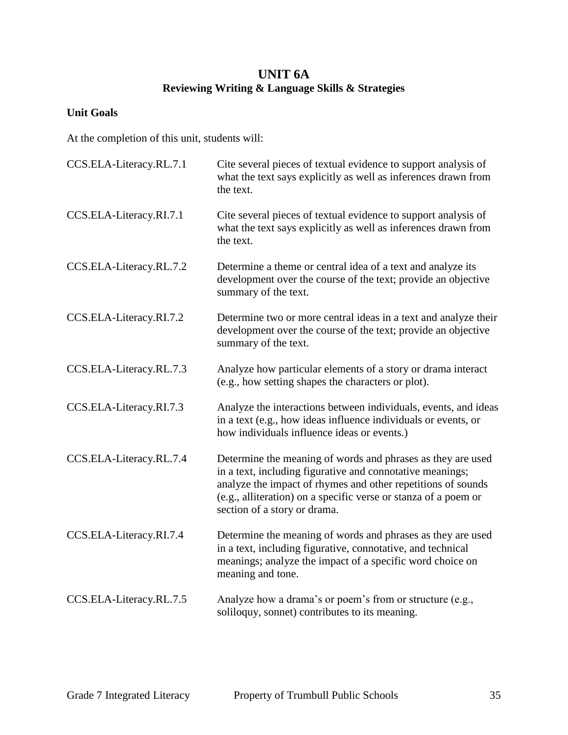## **UNIT 6A Reviewing Writing & Language Skills & Strategies**

## **Unit Goals**

At the completion of this unit, students will:

| CCS.ELA-Literacy.RL.7.1 | Cite several pieces of textual evidence to support analysis of<br>what the text says explicitly as well as inferences drawn from<br>the text.                                                                                                                                               |
|-------------------------|---------------------------------------------------------------------------------------------------------------------------------------------------------------------------------------------------------------------------------------------------------------------------------------------|
| CCS.ELA-Literacy.RI.7.1 | Cite several pieces of textual evidence to support analysis of<br>what the text says explicitly as well as inferences drawn from<br>the text.                                                                                                                                               |
| CCS.ELA-Literacy.RL.7.2 | Determine a theme or central idea of a text and analyze its<br>development over the course of the text; provide an objective<br>summary of the text.                                                                                                                                        |
| CCS.ELA-Literacy.RI.7.2 | Determine two or more central ideas in a text and analyze their<br>development over the course of the text; provide an objective<br>summary of the text.                                                                                                                                    |
| CCS.ELA-Literacy.RL.7.3 | Analyze how particular elements of a story or drama interact<br>(e.g., how setting shapes the characters or plot).                                                                                                                                                                          |
| CCS.ELA-Literacy.RI.7.3 | Analyze the interactions between individuals, events, and ideas<br>in a text (e.g., how ideas influence individuals or events, or<br>how individuals influence ideas or events.)                                                                                                            |
| CCS.ELA-Literacy.RL.7.4 | Determine the meaning of words and phrases as they are used<br>in a text, including figurative and connotative meanings;<br>analyze the impact of rhymes and other repetitions of sounds<br>(e.g., alliteration) on a specific verse or stanza of a poem or<br>section of a story or drama. |
| CCS.ELA-Literacy.RI.7.4 | Determine the meaning of words and phrases as they are used<br>in a text, including figurative, connotative, and technical<br>meanings; analyze the impact of a specific word choice on<br>meaning and tone.                                                                                |
| CCS.ELA-Literacy.RL.7.5 | Analyze how a drama's or poem's from or structure (e.g.,<br>soliloquy, sonnet) contributes to its meaning.                                                                                                                                                                                  |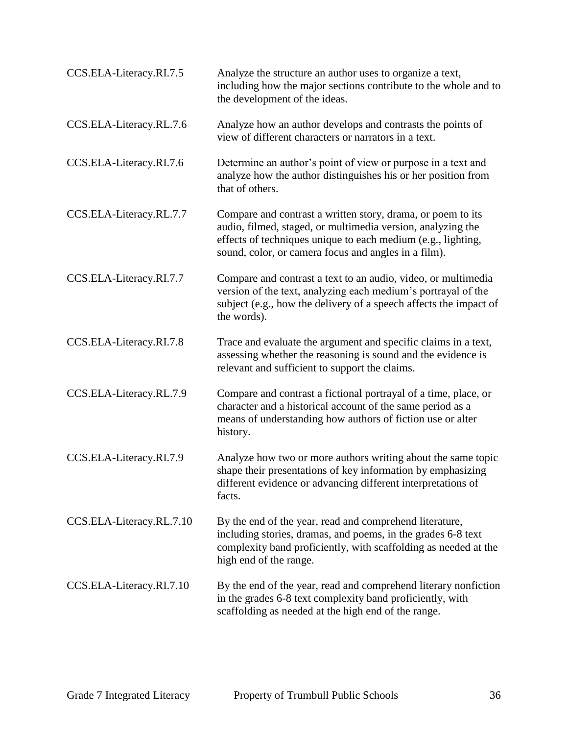| CCS.ELA-Literacy.RI.7.5  | Analyze the structure an author uses to organize a text,<br>including how the major sections contribute to the whole and to<br>the development of the ideas.                                                                                       |
|--------------------------|----------------------------------------------------------------------------------------------------------------------------------------------------------------------------------------------------------------------------------------------------|
| CCS.ELA-Literacy.RL.7.6  | Analyze how an author develops and contrasts the points of<br>view of different characters or narrators in a text.                                                                                                                                 |
| CCS.ELA-Literacy.RI.7.6  | Determine an author's point of view or purpose in a text and<br>analyze how the author distinguishes his or her position from<br>that of others.                                                                                                   |
| CCS.ELA-Literacy.RL.7.7  | Compare and contrast a written story, drama, or poem to its<br>audio, filmed, staged, or multimedia version, analyzing the<br>effects of techniques unique to each medium (e.g., lighting,<br>sound, color, or camera focus and angles in a film). |
| CCS.ELA-Literacy.RI.7.7  | Compare and contrast a text to an audio, video, or multimedia<br>version of the text, analyzing each medium's portrayal of the<br>subject (e.g., how the delivery of a speech affects the impact of<br>the words).                                 |
| CCS.ELA-Literacy.RI.7.8  | Trace and evaluate the argument and specific claims in a text,<br>assessing whether the reasoning is sound and the evidence is<br>relevant and sufficient to support the claims.                                                                   |
| CCS.ELA-Literacy.RL.7.9  | Compare and contrast a fictional portrayal of a time, place, or<br>character and a historical account of the same period as a<br>means of understanding how authors of fiction use or alter<br>history.                                            |
| CCS.ELA-Literacy.RI.7.9  | Analyze how two or more authors writing about the same topic<br>shape their presentations of key information by emphasizing<br>different evidence or advancing different interpretations of<br>facts.                                              |
| CCS.ELA-Literacy.RL.7.10 | By the end of the year, read and comprehend literature,<br>including stories, dramas, and poems, in the grades 6-8 text<br>complexity band proficiently, with scaffolding as needed at the<br>high end of the range.                               |
| CCS.ELA-Literacy.RI.7.10 | By the end of the year, read and comprehend literary nonfiction<br>in the grades 6-8 text complexity band proficiently, with<br>scaffolding as needed at the high end of the range.                                                                |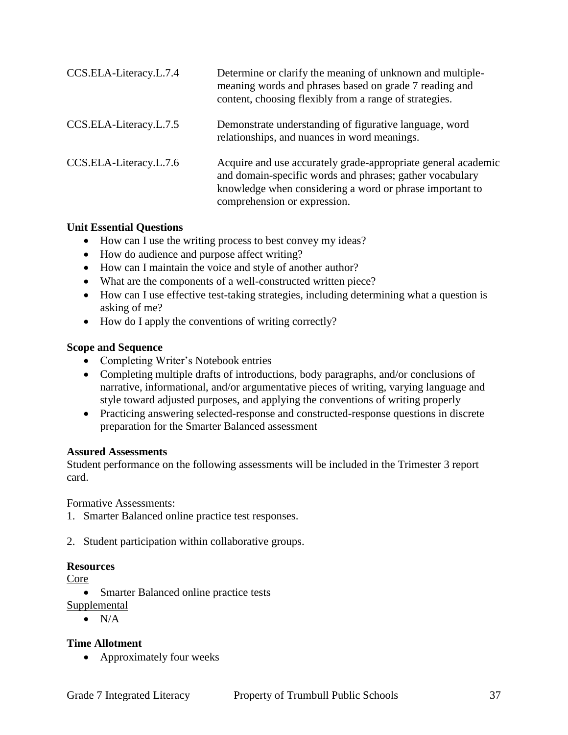| CCS.ELA-Literacy.L.7.4 | Determine or clarify the meaning of unknown and multiple-<br>meaning words and phrases based on grade 7 reading and<br>content, choosing flexibly from a range of strategies.                                         |
|------------------------|-----------------------------------------------------------------------------------------------------------------------------------------------------------------------------------------------------------------------|
| CCS.ELA-Literacy.L.7.5 | Demonstrate understanding of figurative language, word<br>relationships, and nuances in word meanings.                                                                                                                |
| CCS.ELA-Literacy.L.7.6 | Acquire and use accurately grade-appropriate general academic<br>and domain-specific words and phrases; gather vocabulary<br>knowledge when considering a word or phrase important to<br>comprehension or expression. |

#### **Unit Essential Questions**

- How can I use the writing process to best convey my ideas?
- How do audience and purpose affect writing?
- How can I maintain the voice and style of another author?
- What are the components of a well-constructed written piece?
- How can I use effective test-taking strategies, including determining what a question is asking of me?
- How do I apply the conventions of writing correctly?

#### **Scope and Sequence**

- Completing Writer's Notebook entries
- Completing multiple drafts of introductions, body paragraphs, and/or conclusions of narrative, informational, and/or argumentative pieces of writing, varying language and style toward adjusted purposes, and applying the conventions of writing properly
- Practicing answering selected-response and constructed-response questions in discrete preparation for the Smarter Balanced assessment

#### **Assured Assessments**

Student performance on the following assessments will be included in the Trimester 3 report card.

Formative Assessments:

- 1. Smarter Balanced online practice test responses.
- 2. Student participation within collaborative groups.

#### **Resources**

Core

• Smarter Balanced online practice tests

Supplemental

 $\bullet$  N/A

#### **Time Allotment**

• Approximately four weeks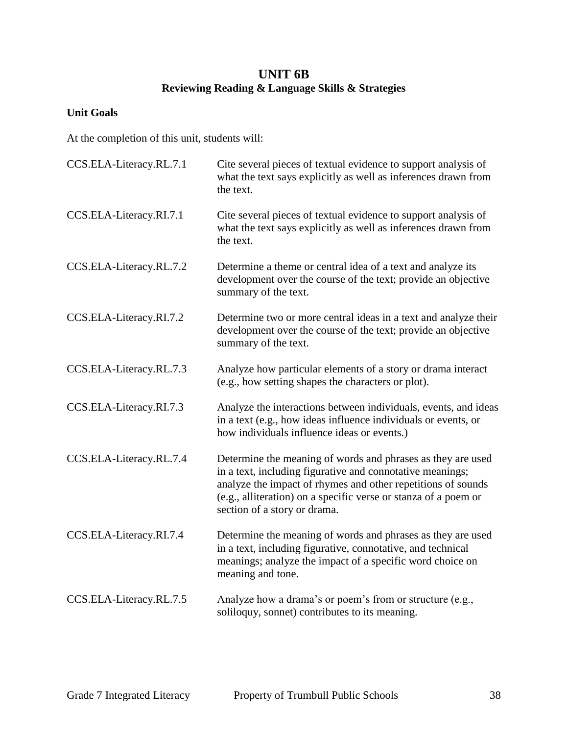## **UNIT 6B Reviewing Reading & Language Skills & Strategies**

## **Unit Goals**

At the completion of this unit, students will:

| CCS.ELA-Literacy.RL.7.1 | Cite several pieces of textual evidence to support analysis of<br>what the text says explicitly as well as inferences drawn from<br>the text.                                                                                                                                               |
|-------------------------|---------------------------------------------------------------------------------------------------------------------------------------------------------------------------------------------------------------------------------------------------------------------------------------------|
| CCS.ELA-Literacy.RI.7.1 | Cite several pieces of textual evidence to support analysis of<br>what the text says explicitly as well as inferences drawn from<br>the text.                                                                                                                                               |
| CCS.ELA-Literacy.RL.7.2 | Determine a theme or central idea of a text and analyze its<br>development over the course of the text; provide an objective<br>summary of the text.                                                                                                                                        |
| CCS.ELA-Literacy.RI.7.2 | Determine two or more central ideas in a text and analyze their<br>development over the course of the text; provide an objective<br>summary of the text.                                                                                                                                    |
| CCS.ELA-Literacy.RL.7.3 | Analyze how particular elements of a story or drama interact<br>(e.g., how setting shapes the characters or plot).                                                                                                                                                                          |
| CCS.ELA-Literacy.RI.7.3 | Analyze the interactions between individuals, events, and ideas<br>in a text (e.g., how ideas influence individuals or events, or<br>how individuals influence ideas or events.)                                                                                                            |
| CCS.ELA-Literacy.RL.7.4 | Determine the meaning of words and phrases as they are used<br>in a text, including figurative and connotative meanings;<br>analyze the impact of rhymes and other repetitions of sounds<br>(e.g., alliteration) on a specific verse or stanza of a poem or<br>section of a story or drama. |
| CCS.ELA-Literacy.RI.7.4 | Determine the meaning of words and phrases as they are used<br>in a text, including figurative, connotative, and technical<br>meanings; analyze the impact of a specific word choice on<br>meaning and tone.                                                                                |
| CCS.ELA-Literacy.RL.7.5 | Analyze how a drama's or poem's from or structure (e.g.,<br>soliloquy, sonnet) contributes to its meaning.                                                                                                                                                                                  |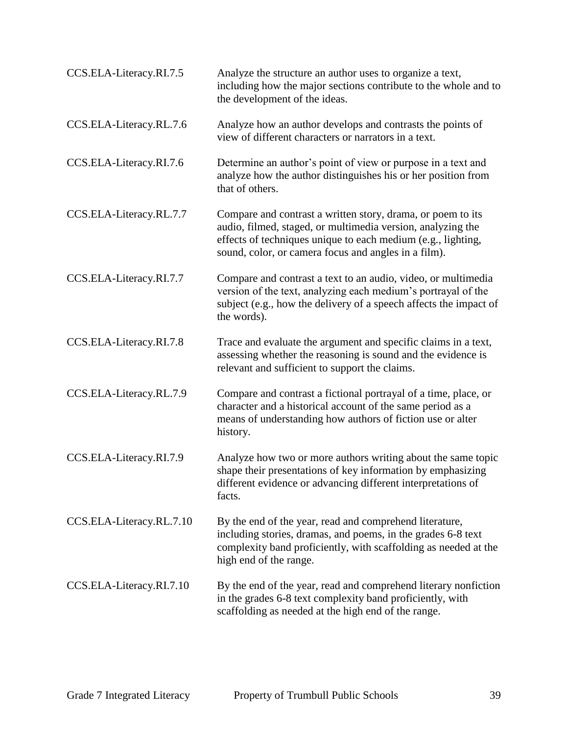| CCS.ELA-Literacy.RI.7.5  | Analyze the structure an author uses to organize a text,<br>including how the major sections contribute to the whole and to<br>the development of the ideas.                                                                                       |
|--------------------------|----------------------------------------------------------------------------------------------------------------------------------------------------------------------------------------------------------------------------------------------------|
| CCS.ELA-Literacy.RL.7.6  | Analyze how an author develops and contrasts the points of<br>view of different characters or narrators in a text.                                                                                                                                 |
| CCS.ELA-Literacy.RI.7.6  | Determine an author's point of view or purpose in a text and<br>analyze how the author distinguishes his or her position from<br>that of others.                                                                                                   |
| CCS.ELA-Literacy.RL.7.7  | Compare and contrast a written story, drama, or poem to its<br>audio, filmed, staged, or multimedia version, analyzing the<br>effects of techniques unique to each medium (e.g., lighting,<br>sound, color, or camera focus and angles in a film). |
| CCS.ELA-Literacy.RI.7.7  | Compare and contrast a text to an audio, video, or multimedia<br>version of the text, analyzing each medium's portrayal of the<br>subject (e.g., how the delivery of a speech affects the impact of<br>the words).                                 |
| CCS.ELA-Literacy.RI.7.8  | Trace and evaluate the argument and specific claims in a text,<br>assessing whether the reasoning is sound and the evidence is<br>relevant and sufficient to support the claims.                                                                   |
| CCS.ELA-Literacy.RL.7.9  | Compare and contrast a fictional portrayal of a time, place, or<br>character and a historical account of the same period as a<br>means of understanding how authors of fiction use or alter<br>history.                                            |
| CCS.ELA-Literacy.RI.7.9  | Analyze how two or more authors writing about the same topic<br>shape their presentations of key information by emphasizing<br>different evidence or advancing different interpretations of<br>facts.                                              |
| CCS.ELA-Literacy.RL.7.10 | By the end of the year, read and comprehend literature,<br>including stories, dramas, and poems, in the grades 6-8 text<br>complexity band proficiently, with scaffolding as needed at the<br>high end of the range.                               |
| CCS.ELA-Literacy.RI.7.10 | By the end of the year, read and comprehend literary nonfiction<br>in the grades 6-8 text complexity band proficiently, with<br>scaffolding as needed at the high end of the range.                                                                |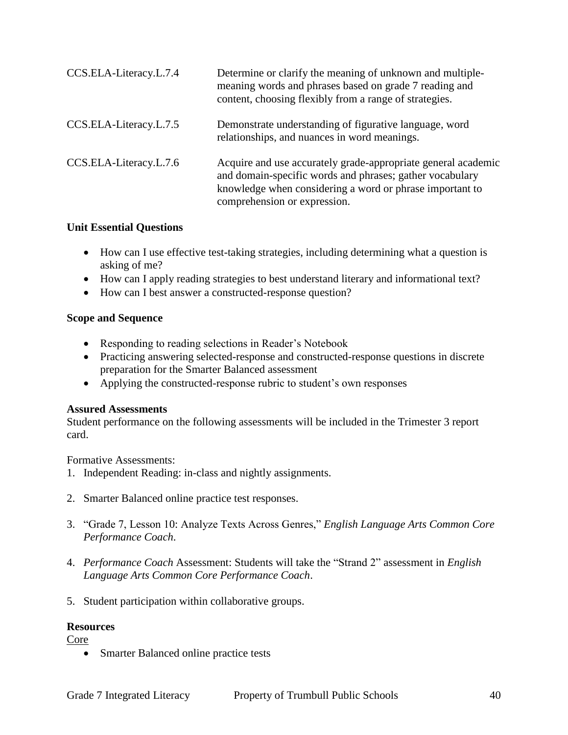| CCS.ELA-Literacy.L.7.4 | Determine or clarify the meaning of unknown and multiple-<br>meaning words and phrases based on grade 7 reading and<br>content, choosing flexibly from a range of strategies.                                         |
|------------------------|-----------------------------------------------------------------------------------------------------------------------------------------------------------------------------------------------------------------------|
| CCS.ELA-Literacy.L.7.5 | Demonstrate understanding of figurative language, word<br>relationships, and nuances in word meanings.                                                                                                                |
| CCS.ELA-Literacy.L.7.6 | Acquire and use accurately grade-appropriate general academic<br>and domain-specific words and phrases; gather vocabulary<br>knowledge when considering a word or phrase important to<br>comprehension or expression. |

#### **Unit Essential Questions**

- How can I use effective test-taking strategies, including determining what a question is asking of me?
- How can I apply reading strategies to best understand literary and informational text?
- How can I best answer a constructed-response question?

## **Scope and Sequence**

- Responding to reading selections in Reader's Notebook
- Practicing answering selected-response and constructed-response questions in discrete preparation for the Smarter Balanced assessment
- Applying the constructed-response rubric to student's own responses

## **Assured Assessments**

Student performance on the following assessments will be included in the Trimester 3 report card.

Formative Assessments:

- 1. Independent Reading: in-class and nightly assignments.
- 2. Smarter Balanced online practice test responses.
- 3. "Grade 7, Lesson 10: Analyze Texts Across Genres," *English Language Arts Common Core Performance Coach*.
- 4. *Performance Coach* Assessment: Students will take the "Strand 2" assessment in *English Language Arts Common Core Performance Coach*.
- 5. Student participation within collaborative groups.

## **Resources**

Core

Smarter Balanced online practice tests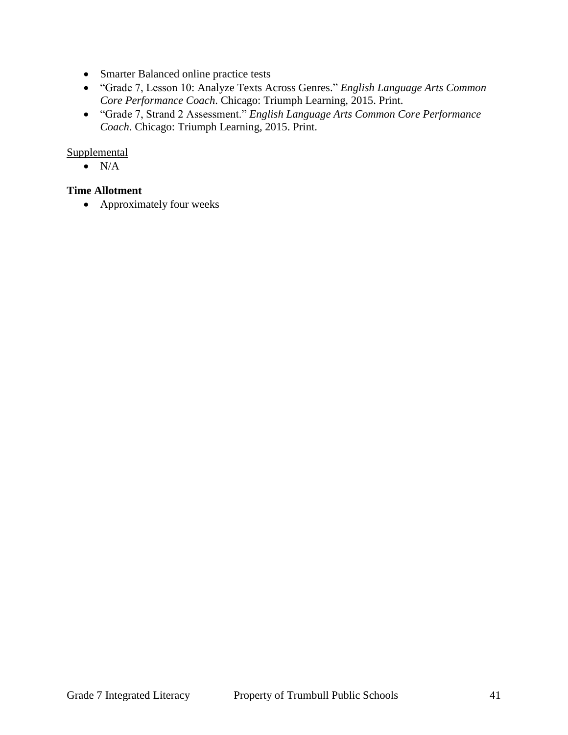- Smarter Balanced online practice tests
- "Grade 7, Lesson 10: Analyze Texts Across Genres." *English Language Arts Common Core Performance Coach*. Chicago: Triumph Learning, 2015. Print.
- "Grade 7, Strand 2 Assessment." *English Language Arts Common Core Performance Coach*. Chicago: Triumph Learning, 2015. Print.

#### **Supplemental**

 $\bullet$  N/A

## **Time Allotment**

• Approximately four weeks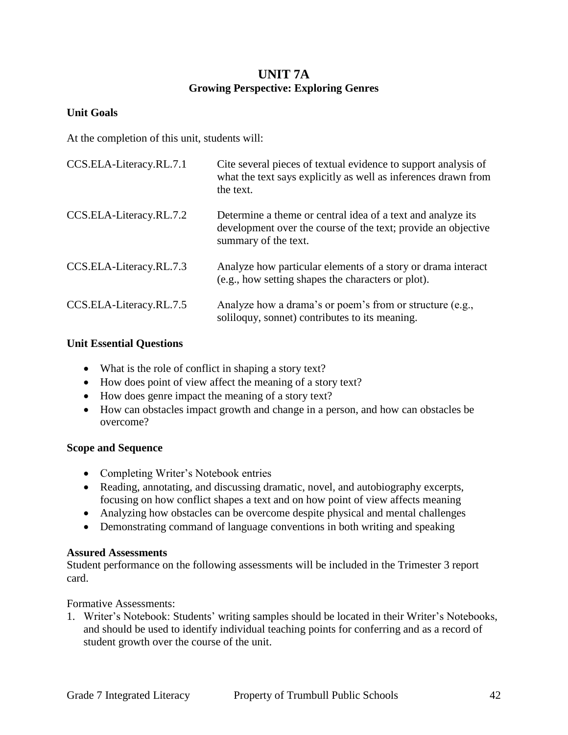## **UNIT 7A Growing Perspective: Exploring Genres**

#### **Unit Goals**

At the completion of this unit, students will:

| CCS.ELA-Literacy.RL.7.1 | Cite several pieces of textual evidence to support analysis of<br>what the text says explicitly as well as inferences drawn from<br>the text.        |
|-------------------------|------------------------------------------------------------------------------------------------------------------------------------------------------|
| CCS.ELA-Literacy.RL.7.2 | Determine a theme or central idea of a text and analyze its<br>development over the course of the text; provide an objective<br>summary of the text. |
| CCS.ELA-Literacy.RL.7.3 | Analyze how particular elements of a story or drama interact<br>(e.g., how setting shapes the characters or plot).                                   |
| CCS.ELA-Literacy.RL.7.5 | Analyze how a drama's or poem's from or structure (e.g.,<br>soliloguy, sonnet) contributes to its meaning.                                           |

#### **Unit Essential Questions**

- What is the role of conflict in shaping a story text?
- How does point of view affect the meaning of a story text?
- How does genre impact the meaning of a story text?
- How can obstacles impact growth and change in a person, and how can obstacles be overcome?

#### **Scope and Sequence**

- Completing Writer's Notebook entries
- Reading, annotating, and discussing dramatic, novel, and autobiography excerpts, focusing on how conflict shapes a text and on how point of view affects meaning
- Analyzing how obstacles can be overcome despite physical and mental challenges
- Demonstrating command of language conventions in both writing and speaking

#### **Assured Assessments**

Student performance on the following assessments will be included in the Trimester 3 report card.

Formative Assessments:

1. Writer's Notebook: Students' writing samples should be located in their Writer's Notebooks, and should be used to identify individual teaching points for conferring and as a record of student growth over the course of the unit.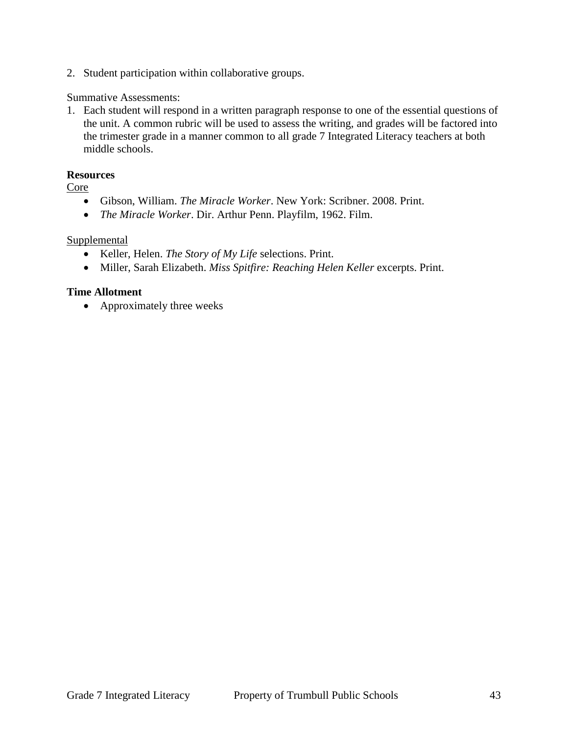2. Student participation within collaborative groups.

#### Summative Assessments:

1. Each student will respond in a written paragraph response to one of the essential questions of the unit. A common rubric will be used to assess the writing, and grades will be factored into the trimester grade in a manner common to all grade 7 Integrated Literacy teachers at both middle schools.

#### **Resources**

Core

- Gibson, William. *The Miracle Worker*. New York: Scribner. 2008. Print.
- *The Miracle Worker*. Dir. Arthur Penn. Playfilm, 1962. Film.

#### Supplemental

- Keller, Helen. *The Story of My Life* selections. Print.
- Miller, Sarah Elizabeth. *Miss Spitfire: Reaching Helen Keller* excerpts. Print.

#### **Time Allotment**

• Approximately three weeks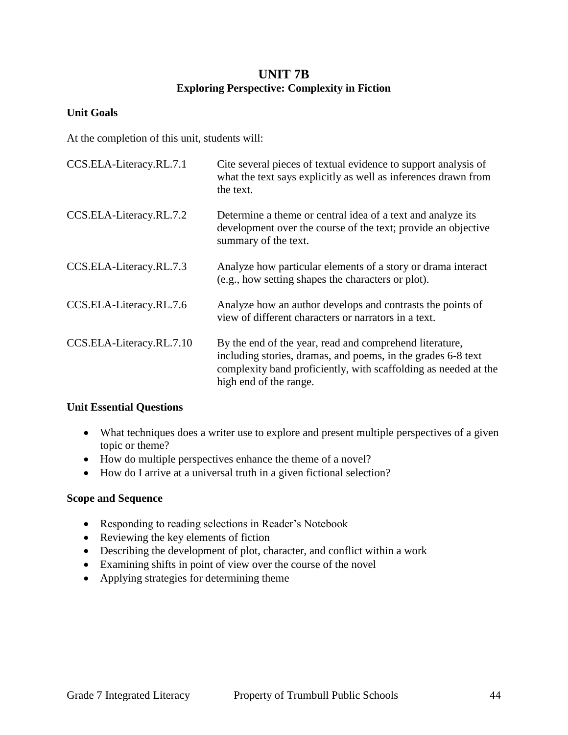## **UNIT 7B Exploring Perspective: Complexity in Fiction**

#### **Unit Goals**

At the completion of this unit, students will:

| CCS.ELA-Literacy.RL.7.1  | Cite several pieces of textual evidence to support analysis of<br>what the text says explicitly as well as inferences drawn from<br>the text.                                                                        |
|--------------------------|----------------------------------------------------------------------------------------------------------------------------------------------------------------------------------------------------------------------|
| CCS.ELA-Literacy.RL.7.2  | Determine a theme or central idea of a text and analyze its<br>development over the course of the text; provide an objective<br>summary of the text.                                                                 |
| CCS.ELA-Literacy.RL.7.3  | Analyze how particular elements of a story or drama interact<br>(e.g., how setting shapes the characters or plot).                                                                                                   |
| CCS.ELA-Literacy.RL.7.6  | Analyze how an author develops and contrasts the points of<br>view of different characters or narrators in a text.                                                                                                   |
| CCS.ELA-Literacy.RL.7.10 | By the end of the year, read and comprehend literature,<br>including stories, dramas, and poems, in the grades 6-8 text<br>complexity band proficiently, with scaffolding as needed at the<br>high end of the range. |

#### **Unit Essential Questions**

- What techniques does a writer use to explore and present multiple perspectives of a given topic or theme?
- How do multiple perspectives enhance the theme of a novel?
- How do I arrive at a universal truth in a given fictional selection?

#### **Scope and Sequence**

- Responding to reading selections in Reader's Notebook
- Reviewing the key elements of fiction
- Describing the development of plot, character, and conflict within a work
- Examining shifts in point of view over the course of the novel
- Applying strategies for determining theme